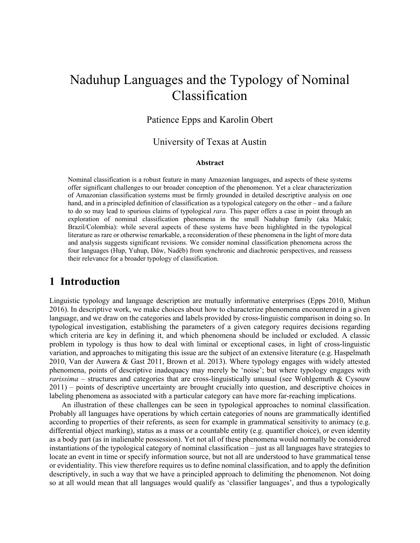# Naduhup Languages and the Typology of Nominal Classification

#### Patience Epps and Karolin Obert

#### University of Texas at Austin

#### **Abstract**

Nominal classification is a robust feature in many Amazonian languages, and aspects of these systems offer significant challenges to our broader conception of the phenomenon. Yet a clear characterization of Amazonian classification systems must be firmly grounded in detailed descriptive analysis on one hand, and in a principled definition of classification as a typological category on the other – and a failure to do so may lead to spurious claims of typological *rara*. This paper offers a case in point through an exploration of nominal classification phenomena in the small Naduhup family (aka Makú; Brazil/Colombia): while several aspects of these systems have been highlighted in the typological literature as rare or otherwise remarkable, a reconsideration of these phenomena in the light of more data and analysis suggests significant revisions. We consider nominal classification phenomena across the four languages (Hup, Yuhup, Dâw, Nadëb) from synchronic and diachronic perspectives, and reassess their relevance for a broader typology of classification.

### **1 Introduction**

Linguistic typology and language description are mutually informative enterprises (Epps 2010, Mithun 2016). In descriptive work, we make choices about how to characterize phenomena encountered in a given language, and we draw on the categories and labels provided by cross-linguistic comparison in doing so. In typological investigation, establishing the parameters of a given category requires decisions regarding which criteria are key in defining it, and which phenomena should be included or excluded. A classic problem in typology is thus how to deal with liminal or exceptional cases, in light of cross-linguistic variation, and approaches to mitigating this issue are the subject of an extensive literature (e.g. Haspelmath 2010, Van der Auwera & Gast 2011, Brown et al. 2013). Where typology engages with widely attested phenomena, points of descriptive inadequacy may merely be 'noise'; but where typology engages with *rarissima* – structures and categories that are cross-linguistically unusual (see Wohlgemuth & Cysouw 2011) – points of descriptive uncertainty are brought crucially into question, and descriptive choices in labeling phenomena as associated with a particular category can have more far-reaching implications.

An illustration of these challenges can be seen in typological approaches to nominal classification. Probably all languages have operations by which certain categories of nouns are grammatically identified according to properties of their referents, as seen for example in grammatical sensitivity to animacy (e.g. differential object marking), status as a mass or a countable entity (e.g. quantifier choice), or even identity as a body part (as in inalienable possession). Yet not all of these phenomena would normally be considered instantiations of the typological category of nominal classification – just as all languages have strategies to locate an event in time or specify information source, but not all are understood to have grammatical tense or evidentiality. This view therefore requires us to define nominal classification, and to apply the definition descriptively, in such a way that we have a principled approach to delimiting the phenomenon. Not doing so at all would mean that all languages would qualify as 'classifier languages', and thus a typologically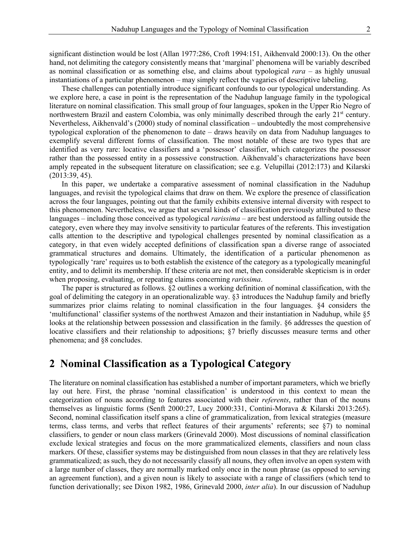significant distinction would be lost (Allan 1977:286, Croft 1994:151, Aikhenvald 2000:13). On the other hand, not delimiting the category consistently means that 'marginal' phenomena will be variably described as nominal classification or as something else, and claims about typological *rara* – as highly unusual instantiations of a particular phenomenon – may simply reflect the vagaries of descriptive labeling.

These challenges can potentially introduce significant confounds to our typological understanding. As we explore here, a case in point is the representation of the Naduhup language family in the typological literature on nominal classification. This small group of four languages, spoken in the Upper Rio Negro of northwestern Brazil and eastern Colombia, was only minimally described through the early 21<sup>st</sup> century. Nevertheless, Aikhenvald's (2000) study of nominal classification – undoubtedly the most comprehensive typological exploration of the phenomenon to date – draws heavily on data from Naduhup languages to exemplify several different forms of classification. The most notable of these are two types that are identified as very rare: locative classifiers and a 'possessor' classifier, which categorizes the possessor rather than the possessed entity in a possessive construction. Aikhenvald's characterizations have been amply repeated in the subsequent literature on classification; see e.g. Velupillai (2012:173) and Kilarski (2013:39, 45).

In this paper, we undertake a comparative assessment of nominal classification in the Naduhup languages, and revisit the typological claims that draw on them. We explore the presence of classification across the four languages, pointing out that the family exhibits extensive internal diversity with respect to this phenomenon. Nevertheless, we argue that several kinds of classification previously attributed to these languages – including those conceived as typological *rarissima* – are best understood as falling outside the category, even where they may involve sensitivity to particular features of the referents. This investigation calls attention to the descriptive and typological challenges presented by nominal classification as a category, in that even widely accepted definitions of classification span a diverse range of associated grammatical structures and domains. Ultimately, the identification of a particular phenomenon as typologically 'rare' requires us to both establish the existence of the category as a typologically meaningful entity, and to delimit its membership. If these criteria are not met, then considerable skepticism is in order when proposing, evaluating, or repeating claims concerning *rarissima*.

The paper is structured as follows. §2 outlines a working definition of nominal classification, with the goal of delimiting the category in an operationalizable way. §3 introduces the Naduhup family and briefly summarizes prior claims relating to nominal classification in the four languages. §4 considers the 'multifunctional' classifier systems of the northwest Amazon and their instantiation in Naduhup, while §5 looks at the relationship between possession and classification in the family. §6 addresses the question of locative classifiers and their relationship to adpositions; §7 briefly discusses measure terms and other phenomena; and §8 concludes.

#### **2 Nominal Classification as a Typological Category**

The literature on nominal classification has established a number of important parameters, which we briefly lay out here. First, the phrase 'nominal classification' is understood in this context to mean the categorization of nouns according to features associated with their *referents*, rather than of the nouns themselves as linguistic forms (Senft 2000:27, Lucy 2000:331, Contini-Morava & Kilarski 2013:265). Second, nominal classification itself spans a cline of grammaticalization, from lexical strategies (measure terms, class terms, and verbs that reflect features of their arguments' referents; see §7) to nominal classifiers, to gender or noun class markers (Grinevald 2000). Most discussions of nominal classification exclude lexical strategies and focus on the more grammaticalized elements, classifiers and noun class markers. Of these, classifier systems may be distinguished from noun classes in that they are relatively less grammaticalized; as such, they do not necessarily classify all nouns, they often involve an open system with a large number of classes, they are normally marked only once in the noun phrase (as opposed to serving an agreement function), and a given noun is likely to associate with a range of classifiers (which tend to function derivationally; see Dixon 1982, 1986, Grinevald 2000, *inter alia*). In our discussion of Naduhup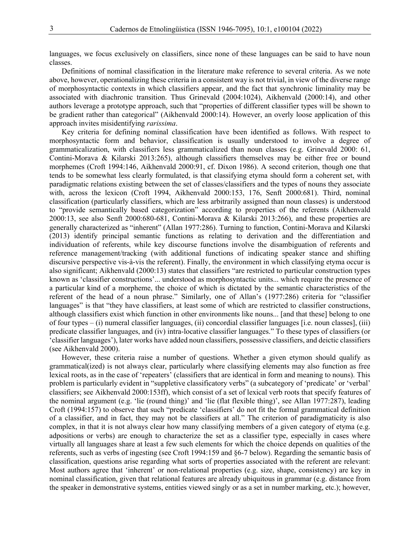languages, we focus exclusively on classifiers, since none of these languages can be said to have noun classes.

Definitions of nominal classification in the literature make reference to several criteria. As we note above, however, operationalizing these criteria in a consistent way is not trivial, in view of the diverse range of morphosyntactic contexts in which classifiers appear, and the fact that synchronic liminality may be associated with diachronic transition. Thus Grinevald (2004:1024), Aikhenvald (2000:14), and other authors leverage a prototype approach, such that "properties of different classifier types will be shown to be gradient rather than categorical" (Aikhenvald 2000:14). However, an overly loose application of this approach invites misidentifying *rarissima*.

Key criteria for defining nominal classification have been identified as follows. With respect to morphosyntactic form and behavior, classification is usually understood to involve a degree of grammaticalization, with classifiers less grammaticalized than noun classes (e.g. Grinevald 2000: 61, Contini-Morava & Kilarski 2013:265), although classifiers themselves may be either free or bound morphemes (Croft 1994:146, Aikhenvald 2000:91, cf. Dixon 1986). A second criterion, though one that tends to be somewhat less clearly formulated, is that classifying etyma should form a coherent set, with paradigmatic relations existing between the set of classes/classifiers and the types of nouns they associate with, across the lexicon (Croft 1994, Aikhenvald 2000:153, 176, Senft 2000:681). Third, nominal classification (particularly classifiers, which are less arbitrarily assigned than noun classes) is understood to "provide semantically based categorization" according to properties of the referents (Aikhenvald 2000:13, see also Senft 2000:680-681, Contini-Morava & Kilarski 2013:266), and these properties are generally characterized as "inherent" (Allan 1977:286). Turning to function, Contini-Morava and Kilarski (2013) identify principal semantic functions as relating to derivation and the differentiation and individuation of referents, while key discourse functions involve the disambiguation of referents and reference management/tracking (with additional functions of indicating speaker stance and shifting discursive perspective vis-à-vis the referent). Finally, the environment in which classifying etyma occur is also significant; Aikhenvald (2000:13) states that classifiers "are restricted to particular construction types known as 'classifier constructions'... understood as morphosyntactic units... which require the presence of a particular kind of a morpheme, the choice of which is dictated by the semantic characteristics of the referent of the head of a noun phrase." Similarly, one of Allan's (1977:286) criteria for "classifier languages" is that "they have classifiers, at least some of which are restricted to classifier constructions, although classifiers exist which function in other environments like nouns... [and that these] belong to one of four types – (i) numeral classifier languages, (ii) concordial classifier languages [i.e. noun classes], (iii) predicate classifier languages, and (iv) intra-locative classifier languages." To these types of classifiers (or 'classifier languages'), later works have added noun classifiers, possessive classifiers, and deictic classifiers (see Aikhenvald 2000).

However, these criteria raise a number of questions. Whether a given etymon should qualify as grammatical(ized) is not always clear, particularly where classifying elements may also function as free lexical roots, as in the case of 'repeaters' (classifiers that are identical in form and meaning to nouns). This problem is particularly evident in "suppletive classificatory verbs" (a subcategory of 'predicate' or 'verbal' classifiers; see Aikhenvald 2000:153ff), which consist of a set of lexical verb roots that specify features of the nominal argument (e.g. 'lie (round thing)' and 'lie (flat flexible thing)', see Allan 1977:287), leading Croft (1994:157) to observe that such "predicate 'classifiers' do not fit the formal grammatical definition of a classifier, and in fact, they may not be classifiers at all." The criterion of paradigmaticity is also complex, in that it is not always clear how many classifying members of a given category of etyma (e.g. adpositions or verbs) are enough to characterize the set as a classifier type, especially in cases where virtually all languages share at least a few such elements for which the choice depends on qualities of the referents, such as verbs of ingesting (see Croft 1994:159 and §6-7 below). Regarding the semantic basis of classification, questions arise regarding what sorts of properties associated with the referent are relevant: Most authors agree that 'inherent' or non-relational properties (e.g. size, shape, consistency) are key in nominal classification, given that relational features are already ubiquitous in grammar (e.g. distance from the speaker in demonstrative systems, entities viewed singly or as a set in number marking, etc.); however,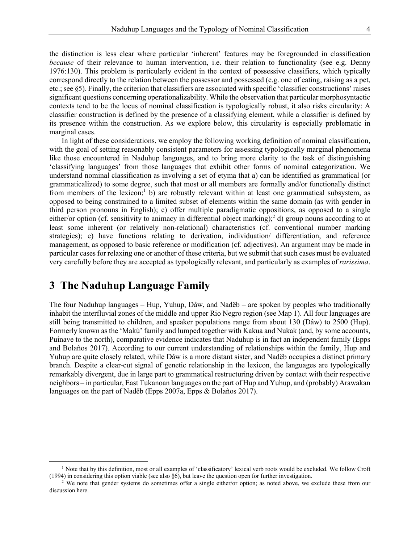the distinction is less clear where particular 'inherent' features may be foregrounded in classification *because* of their relevance to human intervention, i.e. their relation to functionality (see e.g. Denny 1976:130). This problem is particularly evident in the context of possessive classifiers, which typically correspond directly to the relation between the possessor and possessed (e.g. one of eating, raising as a pet, etc.; see §5). Finally, the criterion that classifiers are associated with specific 'classifier constructions' raises significant questions concerning operationalizability. While the observation that particular morphosyntactic contexts tend to be the locus of nominal classification is typologically robust, it also risks circularity: A classifier construction is defined by the presence of a classifying element, while a classifier is defined by its presence within the construction. As we explore below, this circularity is especially problematic in marginal cases.

In light of these considerations, we employ the following working definition of nominal classification, with the goal of setting reasonably consistent parameters for assessing typologically marginal phenomena like those encountered in Naduhup languages, and to bring more clarity to the task of distinguishing 'classifying languages' from those languages that exhibit other forms of nominal categorization. We understand nominal classification as involving a set of etyma that a) can be identified as grammatical (or grammaticalized) to some degree, such that most or all members are formally and/or functionally distinct from members of the lexicon;<sup>1</sup> b) are robustly relevant within at least one grammatical subsystem, as opposed to being constrained to a limited subset of elements within the same domain (as with gender in third person pronouns in English); c) offer multiple paradigmatic oppositions, as opposed to a single either/or option (cf. sensitivity to animacy in differential object marking);<sup>2</sup> d) group nouns according to at least some inherent (or relatively non-relational) characteristics (cf. conventional number marking strategies); e) have functions relating to derivation, individuation/ differentiation, and reference management, as opposed to basic reference or modification (cf. adjectives). An argument may be made in particular cases for relaxing one or another of these criteria, but we submit that such cases must be evaluated very carefully before they are accepted as typologically relevant, and particularly as examples of *rarissima*.

### **3 The Naduhup Language Family**

The four Naduhup languages – Hup, Yuhup, Dâw, and Nadëb – are spoken by peoples who traditionally inhabit the interfluvial zones of the middle and upper Rio Negro region (see Map 1). All four languages are still being transmitted to children, and speaker populations range from about 130 (Dâw) to 2500 (Hup). Formerly known as the 'Makú' family and lumped together with Kakua and Nukak (and, by some accounts, Puinave to the north), comparative evidence indicates that Naduhup is in fact an independent family (Epps and Bolaños 2017). According to our current understanding of relationships within the family, Hup and Yuhup are quite closely related, while Dâw is a more distant sister, and Nadëb occupies a distinct primary branch. Despite a clear-cut signal of genetic relationship in the lexicon, the languages are typologically remarkably divergent, due in large part to grammatical restructuring driven by contact with their respective neighbors – in particular, East Tukanoan languages on the part of Hup and Yuhup, and (probably) Arawakan languages on the part of Nadëb (Epps 2007a, Epps & Bolaños 2017).

<sup>&</sup>lt;sup>1</sup> Note that by this definition, most or all examples of 'classificatory' lexical verb roots would be excluded. We follow Croft (1994) in considering this option viable (see also §6), but leave the question open for further investigation.

 $2$  We note that gender systems do sometimes offer a single either/or option; as noted above, we exclude these from our discussion here.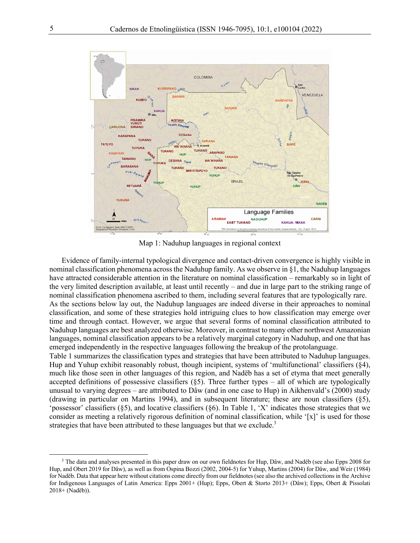

Map 1: Naduhup languages in regional context

Evidence of family-internal typological divergence and contact-driven convergence is highly visible in nominal classification phenomena across the Naduhup family. As we observe in §1, the Naduhup languages have attracted considerable attention in the literature on nominal classification – remarkably so in light of the very limited description available, at least until recently – and due in large part to the striking range of nominal classification phenomena ascribed to them, including several features that are typologically rare. As the sections below lay out, the Naduhup languages are indeed diverse in their approaches to nominal classification, and some of these strategies hold intriguing clues to how classification may emerge over time and through contact. However, we argue that several forms of nominal classification attributed to Naduhup languages are best analyzed otherwise. Moreover, in contrast to many other northwest Amazonian languages, nominal classification appears to be a relatively marginal category in Naduhup, and one that has emerged independently in the respective languages following the breakup of the protolanguage.

Table 1 summarizes the classification types and strategies that have been attributed to Naduhup languages. Hup and Yuhup exhibit reasonably robust, though incipient, systems of 'multifunctional' classifiers (§4), much like those seen in other languages of this region, and Nadëb has a set of etyma that meet generally accepted definitions of possessive classifiers  $(\S 5)$ . Three further types – all of which are typologically unusual to varying degrees – are attributed to Dâw (and in one case to Hup) in Aikhenvald's (2000) study (drawing in particular on Martins 1994), and in subsequent literature; these are noun classifiers (§5), 'possessor' classifiers (§5), and locative classifiers (§6). In Table 1, 'X' indicates those strategies that we consider as meeting a relatively rigorous definition of nominal classification, while '[x]' is used for those strategies that have been attributed to these languages but that we exclude.<sup>3</sup>

<sup>&</sup>lt;sup>3</sup> The data and analyses presented in this paper draw on our own fieldnotes for Hup, Dâw, and Nadëb (see also Epps 2008 for Hup, and Obert 2019 for Dâw), as well as from Ospina Bozzi (2002, 2004-5) for Yuhup, Martins (2004) for Dâw, and Weir (1984) for Nadëb. Data that appear here without citations come directly from our fieldnotes (see also the archived collections in the Archive for Indigenous Languages of Latin America: Epps 2001+ (Hup); Epps, Obert & Storto 2013+ (Dâw); Epps, Obert & Pissolati 2018+ (Nadëb)).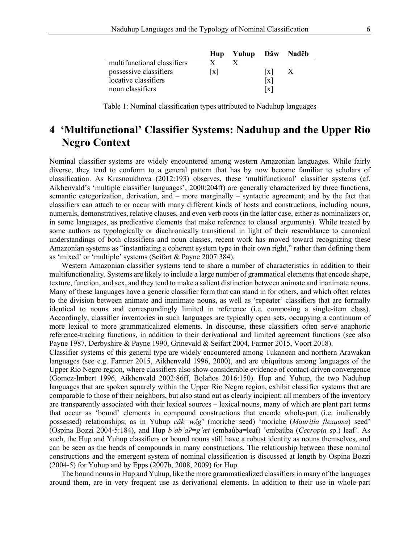|                             | Hup               | Yuhup Dâw Nadëb |   |              |
|-----------------------------|-------------------|-----------------|---|--------------|
| multifunctional classifiers |                   |                 |   |              |
| possessive classifiers      | $\lceil x \rceil$ |                 | x | $\mathbf{X}$ |
| locative classifiers        |                   |                 | x |              |
| noun classifiers            |                   |                 | x |              |

Table 1: Nominal classification types attributed to Naduhup languages

# **4 'Multifunctional' Classifier Systems: Naduhup and the Upper Rio Negro Context**

Nominal classifier systems are widely encountered among western Amazonian languages. While fairly diverse, they tend to conform to a general pattern that has by now become familiar to scholars of classification. As Krasnoukhova (2012:193) observes, these 'multifunctional' classifier systems (cf. Aikhenvald's 'multiple classifier languages', 2000:204ff) are generally characterized by three functions, semantic categorization, derivation, and – more marginally – syntactic agreement; and by the fact that classifiers can attach to or occur with many different kinds of hosts and constructions, including nouns, numerals, demonstratives, relative clauses, and even verb roots (in the latter case, either as nominalizers or, in some languages, as predicative elements that make reference to clausal arguments). While treated by some authors as typologically or diachronically transitional in light of their resemblance to canonical understandings of both classifiers and noun classes, recent work has moved toward recognizing these Amazonian systems as "instantiating a coherent system type in their own right," rather than defining them as 'mixed' or 'multiple' systems (Seifart & Payne 2007:384).

Western Amazonian classifier systems tend to share a number of characteristics in addition to their multifunctionality. Systems are likely to include a large number of grammatical elements that encode shape, texture, function, and sex, and they tend to make a salient distinction between animate and inanimate nouns. Many of these languages have a generic classifier form that can stand in for others, and which often relates to the division between animate and inanimate nouns, as well as 'repeater' classifiers that are formally identical to nouns and correspondingly limited in reference (i.e. composing a single-item class). Accordingly, classifier inventories in such languages are typically open sets, occupying a continuum of more lexical to more grammaticalized elements. In discourse, these classifiers often serve anaphoric reference-tracking functions, in addition to their derivational and limited agreement functions (see also Payne 1987, Derbyshire & Payne 1990, Grinevald & Seifart 2004, Farmer 2015, Voort 2018).

Classifier systems of this general type are widely encountered among Tukanoan and northern Arawakan languages (see e.g. Farmer 2015, Aikhenvald 1996, 2000), and are ubiquitous among languages of the Upper Rio Negro region, where classifiers also show considerable evidence of contact-driven convergence (Gomez-Imbert 1996, Aikhenvald 2002:86ff, Bolaños 2016:150). Hup and Yuhup, the two Naduhup languages that are spoken squarely within the Upper Rio Negro region, exhibit classifier systems that are comparable to those of their neighbors, but also stand out as clearly incipient: all members of the inventory are transparently associated with their lexical sources – lexical nouns, many of which are plant part terms that occur as 'bound' elements in compound constructions that encode whole-part (i.e. inalienably possessed) relationships; as in Yuhup *cǎk=wǝ̂gn* (moriche=seed) 'moriche (*Mauritia flexuosa*) seed' (Ospina Bozzi 2004-5:184), and Hup *b'ab'aʔ=g'æt* (embaúba=leaf) 'embaúba (*Cecropia* sp.) leaf'. As such, the Hup and Yuhup classifiers or bound nouns still have a robust identity as nouns themselves, and can be seen as the heads of compounds in many constructions. The relationship between these nominal constructions and the emergent system of nominal classification is discussed at length by Ospina Bozzi (2004-5) for Yuhup and by Epps (2007b, 2008, 2009) for Hup.

The bound nouns in Hup and Yuhup, like the more grammaticalized classifiers in many of the languages around them, are in very frequent use as derivational elements. In addition to their use in whole-part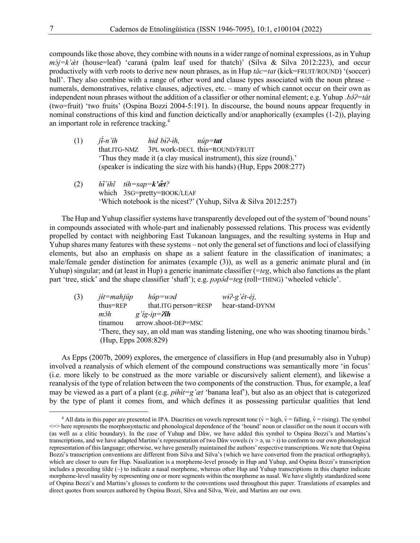compounds like those above, they combine with nouns in a wider range of nominal expressions, as in Yuhup *mɔ́j=k'ǽt* (house=leaf) 'caraná (palm leaf used for thatch)' (Silva & Silva 2012:223), and occur productively with verb roots to derive new noun phrases, as in Hup *tǎc=tat* (kick=FRUIT/ROUND) '(soccer) ball'. They also combine with a range of other word and clause types associated with the noun phrase – numerals, demonstratives, relative clauses, adjectives, etc. – many of which cannot occur on their own as independent noun phrases without the addition of a classifier or other nominal element; e.g. Yuhup *~bŏ?=tǎt* (two=fruit) 'two fruits' (Ospina Bozzi 2004-5:191). In discourse, the bound nouns appear frequently in nominal constructions of this kind and function deictically and/or anaphorically (examples (1-2)), playing an important role in reference tracking.<sup>4</sup>

- (1)  $j\ddot{t}$ -*n'ih*<br>that.ITG-NMZ  $\lambda$ <sup>*-n'ih hid bi?-i*</sup> *h, núp=tat* 3PL work-DECL this=ROUND/FRUIT 'Thus they made it (a clay musical instrument), this size (round).' (speaker is indicating the size with his hands) (Hup, Epps 2008:277)
- $(2)$ *'ɨhĩ tɨh=sap=k'æ̂t?* which 3SG=pretty=BOOK/LEAF 'Which notebook is the nicest?' (Yuhup, Silva & Silva 2012:257)

The Hup and Yuhup classifier systems have transparently developed out of the system of 'bound nouns' in compounds associated with whole-part and inalienably possessed relations. This process was evidently propelled by contact with neighboring East Tukanoan languages, and the resulting systems in Hup and Yuhup shares many features with these systems – not only the general set of functions and loci of classifying elements, but also an emphasis on shape as a salient feature in the classification of inanimates; a male/female gender distinction for animates (example (3)), as well as a generic animate plural and (in Yuhup) singular; and (at least in Hup) a generic inanimate classifier (=*teg*, which also functions as the plant part 'tree, stick' and the shape classifier 'shaft'); e.g.  $pap\acute{o}d=teg$  (roll=THING) 'wheeled vehicle'.

| (3) | $j$ <sub>i</sub> t=mahjúp | $hiip$ =wəd            | $wi^2-g'$ ét-éj,                                                                        |
|-----|---------------------------|------------------------|-----------------------------------------------------------------------------------------|
|     | thus=REP                  | that.ITG person=RESP   | hear-stand-DYNM                                                                         |
|     | mžh                       | g'ig-ip= $2\tilde{t}h$ |                                                                                         |
|     | tinamou                   | arrow.shoot-DEP=MSC    |                                                                                         |
|     |                           |                        | There, they say, an old man was standing listening, one who was shooting tinamou birds. |
|     | (Hup, Epps 2008:829)      |                        |                                                                                         |
|     |                           |                        |                                                                                         |

As Epps (2007b, 2009) explores, the emergence of classifiers in Hup (and presumably also in Yuhup) involved a reanalysis of which element of the compound constructions was semantically more 'in focus' (i.e. more likely to be construed as the more variable or discursively salient element), and likewise a reanalysis of the type of relation between the two components of the construction. Thus, for example, a leaf may be viewed as a part of a plant (e.g. *pihit=g'æt* 'banana leaf'), but also as an object that is categorized by the type of plant it comes from, and which defines it as possessing particular qualities that lend

<sup>&</sup>lt;sup>4</sup> All data in this paper are presented in IPA. Diacritics on vowels represent tone ( $\acute{v}$  = high,  $\hat{v}$  = falling,  $\check{v}$  = rising). The symbol <=> here represents the morphosyntactic and phonological dependence of the 'bound' noun or classifier on the noun it occurs with (as well as a clitic boundary). In the case of Yuhup and Dâw, we have added this symbol to Ospina Bozzi's and Martins's transcriptions, and we have adapted Martins's representation of two Dâw vowels ( $x > a$ ,  $u > i$ ) to conform to our own phonological representation of this language; otherwise, we have generally maintained the authors' respective transcriptions. We note that Ospina Bozzi's transcription conventions are different from Silva and Silva's (which we have converted from the practical orthography), which are closer to ours for Hup. Nasalization is a morpheme-level prosody in Hup and Yuhup, and Ospina Bozzi's transcription includes a preceding tilde  $(\sim)$  to indicate a nasal morpheme, whereas other Hup and Yuhup transcriptions in this chapter indicate morpheme-level nasality by representing one or more segments within the morpheme as nasal. We have slightly standardized some of Ospina Bozzi's and Martins's glosses to conform to the conventions used throughout this paper. Translations of examples and direct quotes from sources authored by Ospina Bozzi, Silva and Silva, Weir, and Martins are our own.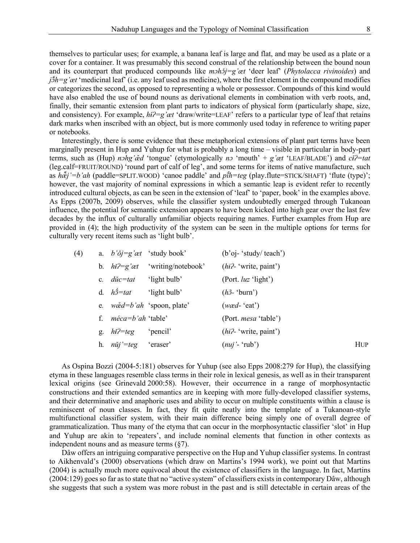themselves to particular uses; for example, a banana leaf is large and flat, and may be used as a plate or a cover for a container. It was presumably this second construal of the relationship between the bound noun and its counterpart that produced compounds like  $msh\delta j = g'$ *et* 'deer leaf' (*Phytolacca rivinoides*) and *jɔ̃ ̌h=g'æt* 'medicinal leaf' (i.e. any leaf used as medicine), where the first element in the compound modifies or categorizes the second, as opposed to representing a whole or possessor. Compounds of this kind would have also enabled the use of bound nouns as derivational elements in combination with verb roots, and, finally, their semantic extension from plant parts to indicators of physical form (particularly shape, size, and consistency). For example,  $h\tilde{t}^2 = g'et' d\text{raw}/\text{write} = \text{LEAF'}$  refers to a particular type of leaf that retains dark marks when inscribed with an object, but is more commonly used today in reference to writing paper or notebooks.

Interestingly, there is some evidence that these metaphorical extensions of plant part terms have been marginally present in Hup and Yuhup for what is probably a long time – visible in particular in body-part terms, such as (Hup) *nɔhg'æd* 'tongue' (etymologically *n* 'mouth' + *g'æt* 'LEAF/BLADE') and *ct* $\hat{i}$ -tat (leg.calf=FRUIT/ROUND) 'round part of calf of leg', and some terms for items of native manufacture, such as *hæ̃ ̌j'=b'ah* (paddle=SPLIT.WOOD) 'canoe paddle' and *pĩ̌ h=teg* (play.flute=STICK/SHAFT) 'flute (type)'; however, the vast majority of nominal expressions in which a semantic leap is evident refer to recently introduced cultural objects, as can be seen in the extension of 'leaf' to 'paper, book' in the examples above. As Epps (2007b, 2009) observes, while the classifier system undoubtedly emerged through Tukanoan influence, the potential for semantic extension appears to have been kicked into high gear over the last few decades by the influx of culturally unfamiliar objects requiring names. Further examples from Hup are provided in (4); the high productivity of the system can be seen in the multiple options for terms for culturally very recent items such as 'light bulb'.

| (4) |    |                                               | a. $b'oj = g' \alpha t$ 'study book'       | $(b'oj- 'study/ teach')$      |            |
|-----|----|-----------------------------------------------|--------------------------------------------|-------------------------------|------------|
|     |    | b. $h\tilde{t}^2 = g' \alpha t$               | 'writing/notebook'                         | $(hi^2$ 'write, paint')       |            |
|     |    | c. $di\mathbf{c} = t\mathbf{a}t$ 'light bulb' |                                            | (Port. luz 'light')           |            |
|     |    | d. $h\acute{\partial} = ta\dot{t}$            | 'light bulb'                               | $(h\tilde{\sigma}$ - 'burn')  |            |
|     |    |                                               | e. $w\ddot{\alpha}d = b'ah$ 'spoon, plate' | $(w \alpha d - \text{`eat'})$ |            |
|     | f. | <i>méca=b'ah</i> 'table'                      |                                            | (Port. <i>mesa</i> 'table')   |            |
|     | g. | $h\check{i}$ ?=teg                            | 'pencil'                                   | $(hi^2$ 'write, paint')       |            |
|     |    | h. $n' = teg$                                 | 'eraser'                                   | $(nuj'$ - 'rub')              | <b>HUP</b> |
|     |    |                                               |                                            |                               |            |

As Ospina Bozzi (2004-5:181) observes for Yuhup (see also Epps 2008:279 for Hup), the classifying etyma in these languages resemble class terms in their role in lexical genesis, as well as in their transparent lexical origins (see Grinevald 2000:58). However, their occurrence in a range of morphosyntactic constructions and their extended semantics are in keeping with more fully-developed classifier systems, and their determinative and anaphoric uses and ability to occur on multiple constituents within a clause is reminiscent of noun classes. In fact, they fit quite neatly into the template of a Tukanoan-style multifunctional classifier system, with their main difference being simply one of overall degree of grammaticalization. Thus many of the etyma that can occur in the morphosyntactic classifier 'slot' in Hup and Yuhup are akin to 'repeaters', and include nominal elements that function in other contexts as independent nouns and as measure terms (§7).

Dâw offers an intriguing comparative perspective on the Hup and Yuhup classifier systems. In contrast to Aikhenvald's (2000) observations (which draw on Martins's 1994 work), we point out that Martins (2004) is actually much more equivocal about the existence of classifiers in the language. In fact, Martins (2004:129) goes so far as to state that no "active system" of classifiers existsin contemporary Dâw, although she suggests that such a system was more robust in the past and is still detectable in certain areas of the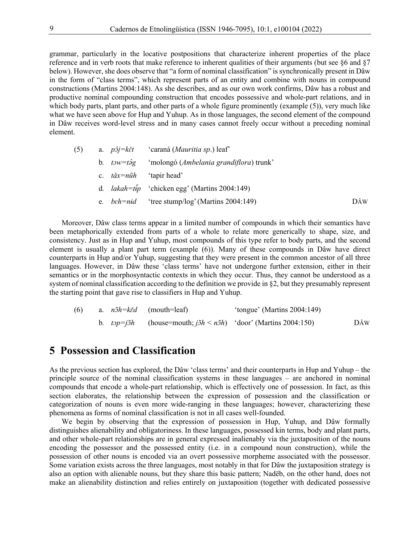grammar, particularly in the locative postpositions that characterize inherent properties of the place reference and in verb roots that make reference to inherent qualities of their arguments (but see §6 and §7 below). However, she does observe that "a form of nominal classification" is synchronically present in Dâw in the form of "class terms", which represent parts of an entity and combine with nouns in compound constructions (Martins 2004:148). As she describes, and as our own work confirms, Dâw has a robust and productive nominal compounding construction that encodes possessive and whole-part relations, and in which body parts, plant parts, and other parts of a whole figure prominently (example (5)), very much like what we have seen above for Hup and Yuhup. As in those languages, the second element of the compound in Dâw receives word-level stress and in many cases cannot freely occur without a preceding nominal element.

| (5) |  | a. $p\hat{i} = k\check{i}t$ 'caraná ( <i>Mauritia sp.</i> ) leaf'   |     |
|-----|--|---------------------------------------------------------------------|-----|
|     |  | b. $tow = t\hat{\partial}g$ 'molongó (Ambelania grandiflora) trunk' |     |
|     |  | c. $t\tilde{a}x=n\tilde{u}h$ 'tapir head'                           |     |
|     |  | d. <i>lakah=tip</i> 'chicken egg' (Martins 2004:149)                |     |
|     |  | e. $beh=nid$ 'tree stump/log' (Martins 2004:149)                    | DÂW |

Moreover, Dâw class terms appear in a limited number of compounds in which their semantics have been metaphorically extended from parts of a whole to relate more generically to shape, size, and consistency. Just as in Hup and Yuhup, most compounds of this type refer to body parts, and the second element is usually a plant part term (example  $(6)$ ). Many of these compounds in Dâw have direct counterparts in Hup and/or Yuhup, suggesting that they were present in the common ancestor of all three languages. However, in Dâw these 'class terms' have not undergone further extension, either in their semantics or in the morphosyntactic contexts in which they occur. Thus, they cannot be understood as a system of nominal classification according to the definition we provide in §2, but they presumably represent the starting point that gave rise to classifiers in Hup and Yuhup.

| (6) |  | a. <i>nõh=kěd</i> (mouth=leaf)                                                           | 'tongue' (Martins 2004:149) |     |
|-----|--|------------------------------------------------------------------------------------------|-----------------------------|-----|
|     |  | b. $top = j\delta h$ (house=mouth; $j\delta h \le n\delta h$ ) 'door' (Martins 2004:150) |                             | DÂW |

#### **5 Possession and Classification**

As the previous section has explored, the Dâw 'class terms' and their counterparts in Hup and Yuhup – the principle source of the nominal classification systems in these languages – are anchored in nominal compounds that encode a whole-part relationship, which is effectively one of possession. In fact, as this section elaborates, the relationship between the expression of possession and the classification or categorization of nouns is even more wide-ranging in these languages; however, characterizing these phenomena as forms of nominal classification is not in all cases well-founded.

We begin by observing that the expression of possession in Hup, Yuhup, and Dâw formally distinguishes alienability and obligatoriness. In these languages, possessed kin terms, body and plant parts, and other whole-part relationships are in general expressed inalienably via the juxtaposition of the nouns encoding the possessor and the possessed entity (i.e. in a compound noun construction), while the possession of other nouns is encoded via an overt possessive morpheme associated with the possessor. Some variation exists across the three languages, most notably in that for Dâw the juxtaposition strategy is also an option with alienable nouns, but they share this basic pattern; Nadëb, on the other hand, does not make an alienability distinction and relies entirely on juxtaposition (together with dedicated possessive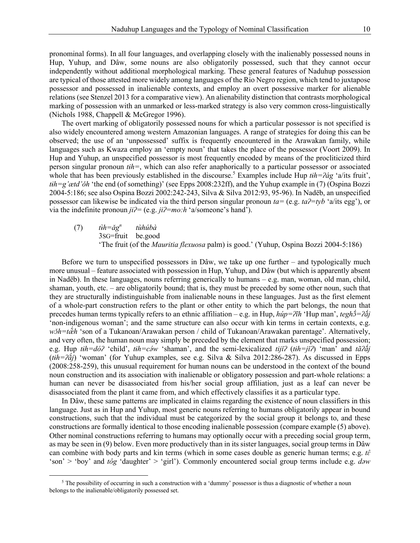pronominal forms). In all four languages, and overlapping closely with the inalienably possessed nouns in Hup, Yuhup, and Dâw, some nouns are also obligatorily possessed, such that they cannot occur independently without additional morphological marking. These general features of Naduhup possession are typical of those attested more widely among languages of the Rio Negro region, which tend to juxtapose possessor and possessed in inalienable contexts, and employ an overt possessive marker for alienable relations (see Stenzel 2013 for a comparative view). An alienability distinction that contrasts morphological marking of possession with an unmarked or less-marked strategy is also very common cross-linguistically (Nichols 1988, Chappell & McGregor 1996).

The overt marking of obligatorily possessed nouns for which a particular possessor is not specified is also widely encountered among western Amazonian languages. A range of strategies for doing this can be observed; the use of an 'unpossessed' suffix is frequently encountered in the Arawakan family, while languages such as Kwaza employ an 'empty noun' that takes the place of the possessor (Voort 2009). In Hup and Yuhup, an unspecified possessor is most frequently encoded by means of the procliticized third person singular pronoun *tɨh=*, which can also refer anaphorically to a particular possessor or associated whole that has been previously established in the discourse.<sup>5</sup> Examples include Hup *tih=* $\frac{\partial}{\partial q}$  'a/its fruit', *tɨh=g'ætd'ǒh* 'the end (of something)' (see Epps 2008:232ff), and the Yuhup example in (7) (Ospina Bozzi 2004-5:186; see also Ospina Bozzi 2002:242-243, Silva & Silva 2012:93, 95-96). In Nadëb, an unspecified possessor can likewise be indicated via the third person singular pronoun *ta=* (e.g. *taʔ=tyb* 'a/its egg'), or via the indefinite pronoun *jiʔ=* (e.g. *jiʔ=mo:h* 'a/someone's hand').

 $(7)$ *h=ǎgn tùhúbà* 3SG=fruit be.good 'The fruit (of the *Mauritia flexuosa* palm) is good.' (Yuhup, Ospina Bozzi 2004-5:186)

Before we turn to unspecified possessors in Dâw, we take up one further – and typologically much more unusual – feature associated with possession in Hup, Yuhup, and Dâw (but which is apparently absent in Nadëb). In these languages, nouns referring generically to humans – e.g. man, woman, old man, child, shaman, youth, etc. – are obligatorily bound; that is, they must be preceded by some other noun, such that they are structurally indistinguishable from inalienable nouns in these languages. Just as the first element of a whole-part construction refers to the plant or other entity to which the part belongs, the noun that precedes human terms typically refers to an ethnic affiliation – e.g. in Hup,  $h\acute{u}p=$ *ʔĩh* ʿHup man', *teghɔ̃́=ʔɑ̃j* 'non-indigenous woman'; and the same structure can also occur with kin terms in certain contexts, e.g. *wɔ̌h=tæ̃ ́h* 'son of a Tukanoan/Arawakan person / child of Tukanoan/Arawakan parentage'. Alternatively, and very often, the human noun may simply be preceded by the element that marks unspecified possession; e.g. Hup *tɨh=dóʔ* 'child', *tɨh=cǝ́ w* 'shaman', and the semi-lexicalized *tijǐʔ* (*tɨh=jǐʔ*) 'man' and *tãʔã́j* (*tɨh=ʔã́j*) 'woman' (for Yuhup examples, see e.g. Silva & Silva 2012:286-287). As discussed in Epps (2008:258-259), this unusual requirement for human nouns can be understood in the context of the bound noun construction and its association with inalienable or obligatory possession and part-whole relations: a human can never be disassociated from his/her social group affiliation, just as a leaf can never be disassociated from the plant it came from, and which effectively classifies it as a particular type.

In Dâw, these same patterns are implicated in claims regarding the existence of noun classifiers in this language. Just as in Hup and Yuhup, most generic nouns referring to humans obligatorily appear in bound constructions, such that the individual must be categorized by the social group it belongs to, and these constructions are formally identical to those encoding inalienable possession (compare example (5) above). Other nominal constructions referring to humans may optionally occur with a preceding social group term, as may be seen in (9) below. Even more productively than in its sister languages, social group terms in Dâw can combine with body parts and kin terms (which in some cases double as generic human terms; e.g.  $t\hat{\epsilon}$ 'son' > 'boy' and *tôg* 'daughter' > 'girl'). Commonly encountered social group terms include e.g. *dǝw* 

 $5$  The possibility of occurring in such a construction with a 'dummy' possessor is thus a diagnostic of whether a noun belongs to the inalienable/obligatorily possessed set.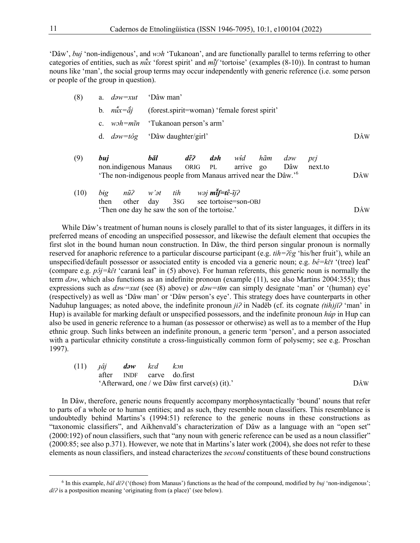'Dâw', *buj* 'non-indigenous', and *wɔh* 'Tukanoan', and are functionally parallel to terms referring to other categories of entities, such as  $nux$  'forest spirit' and  $mJ$  'tortoise' (examples (8-10)). In contrast to human *̌ ̌* nouns like 'man', the social group terms may occur independently with generic reference (i.e. some person or people of the group in question).

| (8)        |  | a. $d\partial w = xut$ 'Dâw man'                                           |     |
|------------|--|----------------------------------------------------------------------------|-----|
|            |  | b. $n\tilde{u}x = \hat{a}j$ (forest spirit = woman) 'female forest spirit' |     |
|            |  | c. $w\circ h = m\tilde{u}n$ 'Tukanoan person's arm'                        |     |
|            |  | d. $d\partial w = t\partial g$ 'Dâw daughter/girl'                         | DÂW |
| $\sqrt{2}$ |  | $\lambda$ 1 $\sim$ 1<br>$\mathbf{v}$ $\mathbf{v}$                          |     |

| (9) | bui                                                                        | băl | dě? | <b>dəh</b> w <del>î</del> d hãm dəw pej |  |  |     |
|-----|----------------------------------------------------------------------------|-----|-----|-----------------------------------------|--|--|-----|
|     | non.indigenous Manaus ORIG PL arrive go Dâw next.to                        |     |     |                                         |  |  |     |
|     | 'The non-indigenous people from Manaus arrived near the Dâw.' <sup>6</sup> |     |     |                                         |  |  | DÂW |

(10) big 
$$
n\tilde{u}
$$
?  $w'\tilde{v}$  *th*  $w\tilde{v}$  **m** $\tilde{t}$ **f**= $t\hat{\epsilon}$ - $\tilde{t}$ **j**?  
then other day 3SG see tortoise=son-OBJ  
'Then one day he saw the son of the tortoise.'

While Dâw's treatment of human nouns is closely parallel to that of its sister languages, it differs in its preferred means of encoding an unspecified possessor, and likewise the default element that occupies the first slot in the bound human noun construction. In Dâw, the third person singular pronoun is normally reserved for anaphoric reference to a particular discourse participant (e.g. *tih=ʔɛ̀ g* 'his/her fruit'), while an unspecified/default possessor or associated entity is encoded via a generic noun; e.g. *bê=kɛ̌t* '(tree) leaf' (compare e.g. *pɔ̂j=kɛ̌t* 'caraná leaf' in (5) above). For human referents, this generic noun is normally the term *daw*, which also functions as an indefinite pronoun (example (11), see also Martins 2004:355); thus expressions such as  $d^2w = xu$  (see (8) above) or  $d^2w = t$  can simply designate 'man' or '(human) eye' (respectively) as well as 'Dâw man' or 'Dâw person's eye'. This strategy does have counterparts in other Naduhup languages; as noted above, the indefinite pronoun *jiʔ* in Nadëb (cf. its cognate *(tɨh)jǐʔ* 'man' in Hup) is available for marking default or unspecified possessors, and the indefinite pronoun *húp* in Hup can also be used in generic reference to a human (as possessor or otherwise) as well as to a member of the Hup ethnic group. Such links between an indefinite pronoun, a generic term 'person', and a person associated with a particular ethnicity constitute a cross-linguistically common form of polysemy; see e.g. Proschan 1997).

(11) 
$$
\hat{\mu}j
$$
 **down**  $k\epsilon d$   $k\delta n$   
after **INDF curve do.first**  
'Afterward, one / we **D**âw first **curve(s)** (it).  
DÂW

In Dâw, therefore, generic nouns frequently accompany morphosyntactically 'bound' nouns that refer to parts of a whole or to human entities; and as such, they resemble noun classifiers. This resemblance is undoubtedly behind Martins's (1994:51) reference to the generic nouns in these constructions as "taxonomic classifiers", and Aikhenvald's characterization of Dâw as a language with an "open set" (2000:192) of noun classifiers, such that "any noun with generic reference can be used as a noun classifier" (2000:85; see also p.371). However, we note that in Martins's later work (2004), she does not refer to these elements as noun classifiers, and instead characterizes the *second* constituents of these bound constructions

<sup>6</sup> In this example, *bǎl dɛ̌ʔ* ('(those) from Manaus') functions as the head of the compound, modified by *buj* 'non-indigenous'; *dɛ̌ʔ* is a postposition meaning 'originating from (a place)' (see below).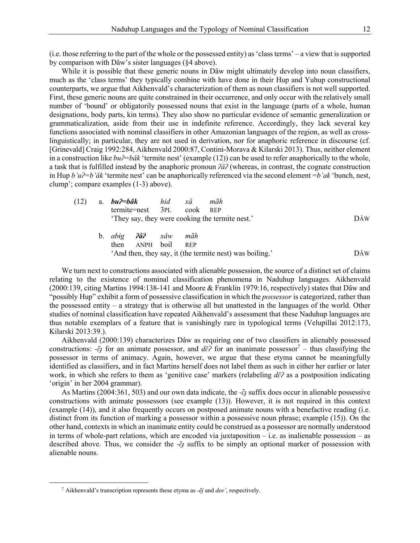(i.e. those referring to the part of the whole or the possessed entity) as 'class terms' – a view that is supported by comparison with Dâw's sister languages (§4 above).

While it is possible that these generic nouns in Dâw might ultimately develop into noun classifiers, much as the 'class terms' they typically combine with have done in their Hup and Yuhup constructional counterparts, we argue that Aikhenvald's characterization of them as noun classifiers is not well supported. First, these generic nouns are quite constrained in their occurrence, and only occur with the relatively small number of 'bound' or obligatorily possessed nouns that exist in the language (parts of a whole, human designations, body parts, kin terms). They also show no particular evidence of semantic generalization or grammaticalization, aside from their use in indefinite reference. Accordingly, they lack several key functions associated with nominal classifiers in other Amazonian languages of the region, as well as crosslinguistically; in particular, they are not used in derivation, nor for anaphoric reference in discourse (cf. [Grinevald] Craig 1992:284, Aikhenvald 2000:87, Contini-Morava & Kilarski 2013). Thus, neither element in a construction like *buʔ=bǎk* 'termite nest' (example (12)) can be used to refer anaphorically to the whole, a task that is fulfilled instead by the anaphoric pronoun *ʔâʔ* (whereas, in contrast, the cognate construction in Hup *b'uʔ=b'ǎk* 'termite nest' can be anaphorically referenced via the second element =*b'ak* 'bunch, nest, clump'; compare examples (1-3) above).

| (12) a. $bu^2=b\check{a}k$ hid xâ |  | mãh                                            |     |
|-----------------------------------|--|------------------------------------------------|-----|
| termite=nest 3PL cook REP         |  |                                                |     |
|                                   |  | They say, they were cooking the termite nest.' | DÂW |
|                                   |  |                                                |     |

b. *abɨg ʔâʔ xâw mãh* then ANPH boil REP 'And then, they say, it (the termite nest) was boiling.' DÂW

We turn next to constructions associated with alienable possession, the source of a distinct set of claims relating to the existence of nominal classification phenomena in Naduhup languages. Aikhenvald (2000:139, citing Martins 1994:138-141 and Moore & Franklin 1979:16, respectively) states that Dâw and "possibly Hup" exhibit a form of possessive classification in which the *possessor* is categorized, rather than the possessed entity – a strategy that is otherwise all but unattested in the languages of the world. Other studies of nominal classification have repeated Aikhenvald's assessment that these Naduhup languages are thus notable exemplars of a feature that is vanishingly rare in typological terms (Velupillai 2012:173, Kilarski 2013:39.).

Aikhenvald (2000:139) characterizes Dâw as requiring one of two classifiers in alienably possessed constructions: *-* $\tilde{e}$ *j* for an animate possessor, and  $d\tilde{e}$ *?* for an inanimate possessor<sup>7</sup> – thus classifying the possessor in terms of animacy. Again, however, we argue that these etyma cannot be meaningfully identified as classifiers, and in fact Martins herself does not label them as such in either her earlier or later work, in which she refers to them as 'genitive case' markers (relabeling *d* $\epsilon$ <sup> $\epsilon$ *<sup>* $\epsilon$ *</sup>* as a postposition indicating</sup> 'origin' in her 2004 grammar).

As Martins (2004:361, 503) and our own data indicate, the - $\tilde{\epsilon}$  suffix does occur in alienable possessive constructions with animate possessors (see example (13)). However, it is not required in this context (example (14)), and it also frequently occurs on postposed animate nouns with a benefactive reading (i.e. distinct from its function of marking a possessor within a possessive noun phrase; example (15)). On the other hand, contextsin which an inanimate entity could be construed as a possessor are normally understood in terms of whole-part relations, which are encoded via juxtaposition  $-$  i.e. as inalienable possession  $-$  as described above. Thus, we consider the - $\tilde{e}$  *j* suffix to be simply an optional marker of possession with alienable nouns.

<sup>7</sup> Aikhenvald's transcription represents these etyma as *-ẽj* and *dee'*, respectively.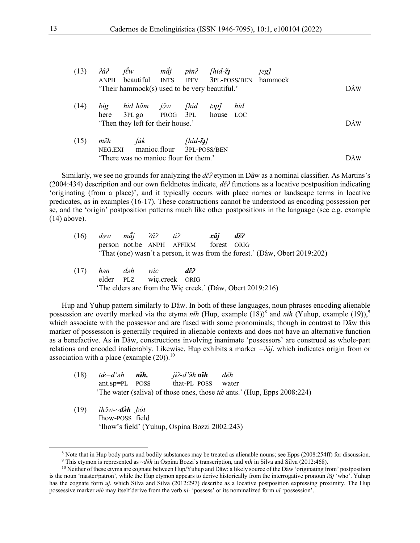| (13) | 2a2            | $j \overset{\circ}{\varepsilon} w$<br>ANPH beautiful INTS<br>'Their hammock(s) used to be very beautiful.' | mẩj           | pin <sup>2</sup>               | [hid- $\tilde{\epsilon}$ ] |     | <i>jeg</i> ]<br>IPFV 3PL-POSS/BEN hammock | DÂW                                      |
|------|----------------|------------------------------------------------------------------------------------------------------------|---------------|--------------------------------|----------------------------|-----|-------------------------------------------|------------------------------------------|
| (14) | big<br>here    | hid hãm<br>3PL go PROG 3PL house LOC<br>'Then they left for their house.'                                  | jôw           | [hid]                          | top/                       | hid |                                           | DÂW                                      |
| (15) | mẽh<br>NEG.EXI | manioc.flour 3PL-POSS/BEN<br>'There was no manioc flour for them.'                                         | $\tilde{\mu}$ | [ $hid$ - $\tilde{\epsilon}$ ] |                            |     |                                           | $\mathbf{D} \hat{\mathbf{A}} \mathbf{W}$ |

Similarly, we see no grounds for analyzing the *dɛ̌ʔ* etymon in Dâw as a nominal classifier. As Martins's (2004:434) description and our own fieldnotes indicate,  $d\breve{\epsilon}$ <sup>2</sup> functions as a locative postposition indicating 'originating (from a place)', and it typically occurs with place names or landscape terms in locative predicates, as in examples (16-17). These constructions cannot be understood as encoding possession per se, and the 'origin' postposition patterns much like other postpositions in the language (see e.g. example (14) above).

|  | person not.be ANPH AFFIRM forest ORIG |                                                                             |
|--|---------------------------------------|-----------------------------------------------------------------------------|
|  |                                       | 'That (one) wasn't a person, it was from the forest.' (Dâw, Obert 2019:202) |

(17) *hən dəh wic dɛ̌ʔ* elder PLZ wiç.creek ORIG 'The elders are from the Wiç creek.' (Dâw, Obert 2019:216)

Hup and Yuhup pattern similarly to Dâw. In both of these languages, noun phrases encoding alienable possession are overtly marked via the etyma *n*ih (Hup, example (18))<sup>8</sup> and *nih* (Yuhup, example (19)),<sup>9</sup> which associate with the possessor and are fused with some pronominals; though in contrast to Dâw this marker of possession is generally required in alienable contexts and does not have an alternative function as a benefactive. As in Dâw, constructions involving inanimate 'possessors' are construed as whole-part relations and encoded inalienably. Likewise, Hup exhibits a marker *=ʔǔj*, which indicates origin from or association with a place (example  $(20)$ ).<sup>10</sup>

- $(18)$   $\acute{\alpha}$ *=<i>d'* $\partial h$  *n***ih,**  $*i*$  $<sup>2</sup>$ *-<i>d'* $\delta h$  *nih děh*</sup> ant.sp=PL POSS that-PL POSS water The water (saliva) of those ones, those *tå* ants.' (Hup, Epps 2008:224)
- (19) *ìhɔ̂w-~də̀ h ̰bót* Ihow-POSS field 'Ihow's field' (Yuhup, Ospina Bozzi 2002:243)

 $8$  Note that in Hup body parts and bodily substances may be treated as alienable nouns; see Epps (2008:254ff) for discussion.

<sup>9</sup> This etymon is represented as *~də̀ h* in Ospina Bozzi's transcription, and *nɨh* in Silva and Silva (2012:468).

 $10$  Neither of these etyma are cognate between Hup/Yuhup and Dâw; a likely source of the Dâw 'originating from' postposition is the noun 'master/patron', while the Hup etymon appears to derive historically from the interrogative pronoun *ʔǔj* 'who'. Yuhup has the cognate form *uj*, which Silva and Silva (2012:297) describe as a locative postposition expressing proximity. The Hup possessive marker *n6̌h* may itself derive from the verb *nɨ-* 'possess' or its nominalized form *n6̌*'possession'.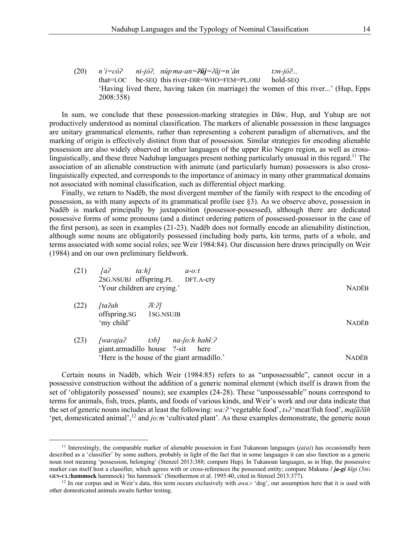In sum, we conclude that these possession-marking strategies in Dâw, Hup, and Yuhup are not productively understood as nominal classification. The markers of alienable possession in these languages are unitary grammatical elements, rather than representing a coherent paradigm of alternatives, and the marking of origin is effectively distinct from that of possession. Similar strategies for encoding alienable possession are also widely observed in other languages of the upper Rio Negro region, as well as crosslinguistically, and these three Naduhup languages present nothing particularly unusual in this regard.<sup>11</sup> The association of an alienable construction with animate (and particularly human) possessors is also crosslinguistically expected, and corresponds to the importance of animacy in many other grammatical domains not associated with nominal classification, such as differential object marking.

Finally, we return to Nadëb, the most divergent member of the family with respect to the encoding of possession, as with many aspects of its grammatical profile (see §3). As we observe above, possession in Nadëb is marked principally by juxtaposition (possessor-possessed), although there are dedicated possessive forms of some pronouns (and a distinct ordering pattern of possessed-possessor in the case of the first person), as seen in examples (21-23). Nadëb does not formally encode an alienability distinction, although some nouns are obligatorily possessed (including body parts, kin terms, parts of a whole, and terms associated with some social roles; see Weir 1984:84). Our discussion here draws principally on Weir (1984) and on our own preliminary fieldwork.

| (21) | [a<br>2SG.NSUBJ offspring.PL<br>'Your children are crying.' | $ta:h$ ]                           | $a-o:t$<br>DFT.A-cry                                                            | <b>NADËB</b> |
|------|-------------------------------------------------------------|------------------------------------|---------------------------------------------------------------------------------|--------------|
| (22) | $\int t a 2ah$<br>offspring.SG<br>'my child'                | $\widetilde{H}$ : ?]<br>1sg.Nsujb  |                                                                                 | <b>NADËB</b> |
| (23) | [waraja?<br>giant.armadillo house ?-sit                     | $t$ <sup><math>\delta</math></sup> | $na$ - $fo:h$ hah $i:$ ?<br>here<br>'Here is the house of the giant armadillo.' | NADËB        |

Certain nouns in Nadëb, which Weir (1984:85) refers to as "unpossessable", cannot occur in a possessive construction without the addition of a generic nominal element (which itself is drawn from the set of 'obligatorily possessed' nouns); see examples (24-28). These "unpossessable" nouns correspond to terms for animals, fish, trees, plants, and foods of various kinds, and Weir's work and our data indicate that the set of generic nouns includes at least the following: *wa:ʔ* 'vegetable food', *tʌʔ* 'meat/fish food', *maʃãʔãh*  'pet, domesticated animal',<sup>12</sup> and *jo:m* 'cultivated plant'. As these examples demonstrate, the generic noun

<sup>&</sup>lt;sup>11</sup> Interestingly, the comparable marker of alienable possession in East Tukanoan languages  $(ja(a))$  has occasionally been described as a 'classifier' by some authors, probably in light of the fact that in some languages it can also function as a generic noun root meaning 'possession, belonging' (Stenzel 2013:388; compare Hup). In Tukanoan languages, as in Hup, the possessive marker can itself host a classifier, which agrees with or cross-references the possessed entity; compare Makuna *ĩ ja-gi hĩgɨ* (3SG **GEN-CL:hammock** hammock) 'his hammock' (Smothermon et al. 1995:40, cited in Stenzel 2013:377).

<sup>&</sup>lt;sup>12</sup> In our corpus and in Weir's data, this term occurs exclusively with *awa:r* 'dog', our assumption here that it is used with other domesticated animals awaits further testing.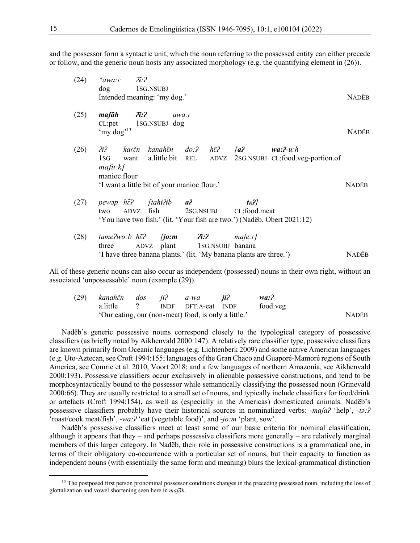and the possessor form a syntactic unit, which the noun referring to the possessed entity can either precede or follow, and the generic noun hosts any associated morphology (e.g. the quantifying element in (26)).

| (24) | $\mathcal{H}$ :2<br>$*$ awa: $\int$<br>dog 1SG.NSUBJ<br>Intended meaning: 'my dog.'                                                                                                                     |                             |                |                                                             | <b>NADËB</b> |
|------|---------------------------------------------------------------------------------------------------------------------------------------------------------------------------------------------------------|-----------------------------|----------------|-------------------------------------------------------------|--------------|
| (25) | $maf\$ ah $\tilde{a}$ :2<br>CL:pet 1SG.NSUBJ dog<br>'my dog' <sup>13</sup>                                                                                                                              | awa:r                       |                |                                                             | <b>NADËB</b> |
| (26) | $\partial \tilde{t}$ ? kar $\tilde{\epsilon}$ n kanah $\tilde{\epsilon}$ n do:? h $\tilde{\epsilon}$ ? [a? wa:?-u:h<br>1SG<br>$ma/u:k$ ]<br>manioc.flour<br>'I want a little bit of your manioc flour.' |                             |                | want a.little.bit REL ADVZ 2SG.NSUBJ CL:food.veg-portion.of | <b>NADËB</b> |
| (27) | pewop $h\tilde{\epsilon}$ ? [tahi?ib $a$ ?<br>ADVZ fish 2SG.NSUBJ CL:food.meat<br>two<br>'You have two fish.' (lit. 'Your fish are two.') (Nadëb, Obert 2021:12)                                        |                             | t <sub>A</sub> |                                                             |              |
| (28) | tame?wo:b $h\tilde{\epsilon}$ ? [ <b>jo:m</b> $\tilde{\eta}$ <b>:?</b><br>three<br>'I have three banana plants.' (lit. 'My banana plants are three.')                                                   | ADVZ plant 1SG.NSUBJ banana | ma[e:r]        |                                                             | <b>NADËB</b> |

All of these generic nouns can also occur as independent (possessed) nouns in their own right, without an associated 'unpossessable' noun (example (29)).

|                                                      |  |  | (29) kanah $\tilde{\epsilon}$ n dos ji? a-wa <b>ji</b> ? |  | wa:      |              |
|------------------------------------------------------|--|--|----------------------------------------------------------|--|----------|--------------|
|                                                      |  |  | a.little ? INDF DFT.A-eat INDF                           |  | food.veg |              |
| 'Our eating, our (non-meat) food, is only a little.' |  |  |                                                          |  |          | <b>NADËB</b> |

Nadëb's generic possessive nouns correspond closely to the typological category of possessive classifiers (as briefly noted by Aikhenvald 2000:147). A relatively rare classifier type, possessive classifiers are known primarily from Oceanic languages (e.g. Lichtenberk 2009) and some native American languages (e.g. Uto-Aztecan, see Croft 1994:155; languages of the Gran Chaco and Guaporé-Mamoré regions of South America, see Comrie et al. 2010, Voort 2018; and a few languages of northern Amazonia, see Aikhenvald 2000:193). Possessive classifiers occur exclusively in alienable possessive constructions, and tend to be morphosyntactically bound to the possessor while semantically classifying the possessed noun (Grinevald 2000:66). They are usually restricted to a small set of nouns, and typically include classifiers for food/drink or artefacts (Croft 1994:154), as well as (especially in the Americas) domesticated animals. Nadëb's possessive classifiers probably have their historical sources in nominalized verbs: *-maʃaʔ* 'help', *-tə:ʔ* 'roast/cook meat/fish', -*wa:ʔ* 'eat (vegetable food)', and -*jo:m* 'plant, sow'.

Nadëb's possessive classifiers meet at least some of our basic criteria for nominal classification, although it appears that they – and perhaps possessive classifiers more generally – are relatively marginal members of this larger category. In Nadëb, their role in possessive constructions is a grammatical one, in terms of their obligatory co-occurrence with a particular set of nouns, but their capacity to function as independent nouns (with essentially the same form and meaning) blurs the lexical-grammatical distinction

<sup>&</sup>lt;sup>13</sup> The postposed first person pronominal possessor conditions changes in the preceding possessed noun, including the loss of glottalization and vowel shortening seen here in *maʃãh*.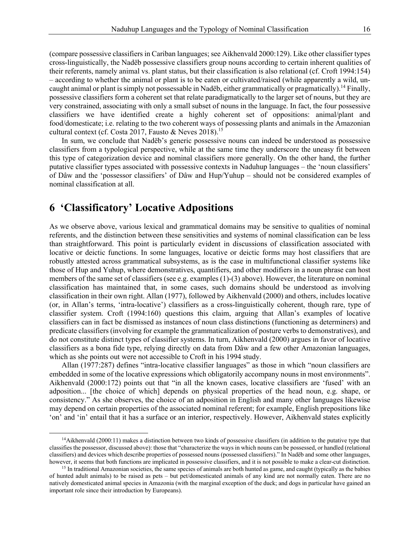(compare possessive classifiers in Cariban languages; see Aikhenvald 2000:129). Like other classifier types cross-linguistically, the Nadëb possessive classifiers group nouns according to certain inherent qualities of their referents, namely animal vs. plant status, but their classification is also relational (cf. Croft 1994:154) – according to whether the animal or plant is to be eaten or cultivated/raised (while apparently a wild, uncaught animal or plant is simply not possessable in Nadëb, either grammatically or pragmatically).<sup>14</sup> Finally, possessive classifiers form a coherent set that relate paradigmatically to the larger set of nouns, but they are very constrained, associating with only a small subset of nouns in the language. In fact, the four possessive classifiers we have identified create a highly coherent set of oppositions: animal/plant and food/domesticate; i.e. relating to the two coherent ways of possessing plants and animals in the Amazonian cultural context (cf. Costa 2017, Fausto & Neves 2018).<sup>15</sup>

In sum, we conclude that Nadëb's generic possessive nouns can indeed be understood as possessive classifiers from a typological perspective, while at the same time they underscore the uneasy fit between this type of categorization device and nominal classifiers more generally. On the other hand, the further putative classifier types associated with possessive contexts in Naduhup languages – the 'noun classifiers' of Dâw and the 'possessor classifiers' of Dâw and Hup/Yuhup – should not be considered examples of nominal classification at all.

#### **6 'Classificatory' Locative Adpositions**

As we observe above, various lexical and grammatical domains may be sensitive to qualities of nominal referents, and the distinction between these sensitivities and systems of nominal classification can be less than straightforward. This point is particularly evident in discussions of classification associated with locative or deictic functions. In some languages, locative or deictic forms may host classifiers that are robustly attested across grammatical subsystems, as is the case in multifunctional classifier systems like those of Hup and Yuhup, where demonstratives, quantifiers, and other modifiers in a noun phrase can host members of the same set of classifiers (see e.g. examples (1)-(3) above). However, the literature on nominal classification has maintained that, in some cases, such domains should be understood as involving classification in their own right. Allan (1977), followed by Aikhenvald (2000) and others, includes locative (or, in Allan's terms, 'intra-locative') classifiers as a cross-linguistically coherent, though rare, type of classifier system. Croft (1994:160) questions this claim, arguing that Allan's examples of locative classifiers can in fact be dismissed as instances of noun class distinctions (functioning as determiners) and predicate classifiers (involving for example the grammaticalization of posture verbs to demonstratives), and do not constitute distinct types of classifier systems. In turn, Aikhenvald (2000) argues in favor of locative classifiers as a bona fide type, relying directly on data from Dâw and a few other Amazonian languages, which as she points out were not accessible to Croft in his 1994 study.

Allan (1977:287) defines "intra-locative classifier languages" as those in which "noun classifiers are embedded in some of the locative expressions which obligatorily accompany nouns in most environments". Aikhenvald (2000:172) points out that "in all the known cases, locative classifiers are 'fused' with an adposition... [the choice of which] depends on physical properties of the head noun, e.g. shape, or consistency." As she observes, the choice of an adposition in English and many other languages likewise may depend on certain properties of the associated nominal referent; for example, English prepositions like 'on' and 'in' entail that it has a surface or an interior, respectively. However, Aikhenvald states explicitly

 $14$ Aikhenvald (2000:11) makes a distinction between two kinds of possessive classifiers (in addition to the putative type that classifies the possessor, discussed above): those that "characterize the ways in which nouns can be possessed, or handled (relational classifiers) and devices which describe properties of possessed nouns (possessed classifiers)." In Nadëb and some other languages, however, it seems that both functions are implicated in possessive classifiers, and it is not possible to make a clear-cut distinction.<br><sup>15</sup> In traditional Amazonian societies, the same species of animals are both hunted a

of hunted adult animals) to be raised as pets – but pet/domesticated animals of any kind are not normally eaten. There are no natively domesticated animal species in Amazonia (with the marginal exception of the duck; and dogs in particular have gained an important role since their introduction by Europeans).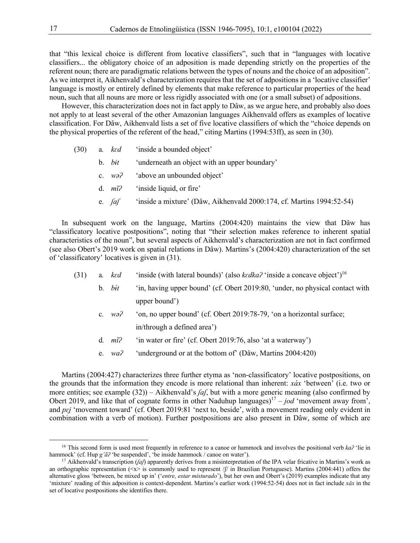that "this lexical choice is different from locative classifiers", such that in "languages with locative classifiers... the obligatory choice of an adposition is made depending strictly on the properties of the referent noun; there are paradigmatic relations between the types of nouns and the choice of an adposition". As we interpret it, Aikhenvald's characterization requires that the set of adpositions in a 'locative classifier' language is mostly or entirely defined by elements that make reference to particular properties of the head noun, such that all nouns are more or less rigidly associated with one (or a small subset) of adpositions.

However, this characterization does not in fact apply to Dâw, as we argue here, and probably also does not apply to at least several of the other Amazonian languages Aikhenvald offers as examples of locative classification. For Dâw, Aikhenvald lists a set of five locative classifiers of which the "choice depends on the physical properties of the referent of the head," citing Martins (1994:53ff), as seen in (30).

- (30) a*. kɛd* 'inside a bounded object'
	- b. *bɨt* 'underneath an object with an upper boundary'
	- c. *wǝʔ* 'above an unbounded object'
	- d. *mĩʔ* 'inside liquid, or fire'
	- e*. ʃaʃ* 'inside a mixture' (Dâw, Aikhenvald 2000:174, cf. Martins 1994:52-54)

In subsequent work on the language, Martins (2004:420) maintains the view that Dâw has "classificatory locative postpositions", noting that "their selection makes reference to inherent spatial characteristics of the noun", but several aspects of Aikhenvald's characterization are not in fact confirmed (see also Obert's 2019 work on spatial relations in Dâw). Martins's (2004:420) characterization of the set of 'classificatory' locatives is given in (31).

- (31) a*. kɛd* 'inside (with lateral bounds)' (also *kɛdkaʔ* 'inside a concave object') 16
	- $b$ *.*  $b$ *it t* in, having upper bound' (cf. Obert 2019:80, 'under, no physical contact with upper bound')
		- c*. wǝʔ* 'on, no upper bound' (cf. Obert 2019:78-79, 'on a horizontal surface; in/through a defined area')
		- d*. mĩʔ* 'in water or fire' (cf. Obert 2019:76, also 'at a waterway')
		- e. *waʔ* 'underground or at the bottom of' (Dâw, Martins 2004:420)

Martins (2004:427) characterizes three further etyma as 'non-classificatory' locative postpositions, on the grounds that the information they encode is more relational than inherent: *xáx* 'between' (i.e. two or more entities; see example (32)) – Aikhenvald's *ʃaʃ*, but with a more generic meaning (also confirmed by Obert 2019, and like that of cognate forms in other Naduhup languages)<sup>17</sup> – *jod* 'movement away from', and *pɛʝ* 'movement toward' (cf. Obert 2019:81 'next to, beside', with a movement reading only evident in combination with a verb of motion). Further postpositions are also present in Dâw, some of which are

<sup>&</sup>lt;sup>16</sup> This second form is used most frequently in reference to a canoe or hammock and involves the positional verb ka? 'lie in hammock' (cf. Hup *g'ã*<sup>2</sup> 'be suspended', 'be inside hammock / canoe on water').

<sup>17</sup> Aikhenvald's transcription (*ʃaʃ*) apparently derives from a misinterpretation of the IPA velar fricative in Martins's work as an orthographic representation ( $\langle x \rangle$  is commonly used to represent / $\beta$  in Brazilian Portuguese). Martins (2004:441) offers the alternative gloss 'between, be mixed up in' ('*entre, estar misturado*'), but her own and Obert's (2019) examples indicate that any 'mixture' reading of this adposition is context-dependent. Martins's earlier work (1994:52-54) does not in fact include *xǎx* in the set of locative postpositions she identifies there.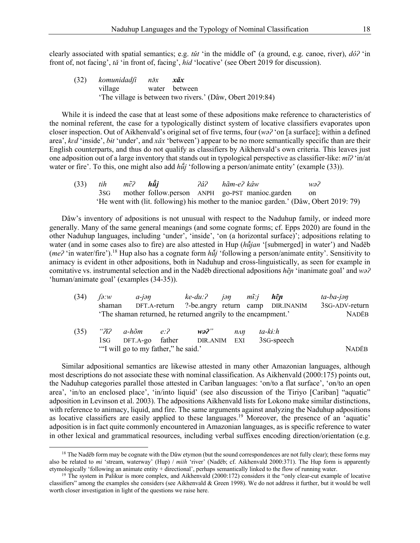clearly associated with spatial semantics; e.g. *tǔt* 'in the middle of' (a ground, e.g. canoe, river), *dôʔ* 'in front of, not facing', *tǎ* 'in front of, facing', *hid* 'locative' (see Obert 2019 for discussion).

(32) *komunidadʃi nə̌x xǎx* village water between 'The village is between two rivers.' (Dâw, Obert 2019:84)

While it is indeed the case that at least some of these adpositions make reference to characteristics of the nominal referent, the case for a typologically distinct system of locative classifiers evaporates upon closer inspection. Out of Aikhenvald's original set of five terms, four (*wǝʔ* 'on [a surface]; within a defined area', *kɛd* 'inside', *bɨt* 'under', and *xǎx* 'between') appear to be no more semantically specific than are their English counterparts, and thus do not qualify as classifiers by Aikhenvald's own criteria. This leaves just one adposition out of a large inventory that stands out in typological perspective as classifier-like: *mĩʔ* 'in/at water or fire'. To this, one might also add *hu*<sup> $\hat{u}$ </sup> 'following a person/animate entity' (example (33)).

(33) *tih mɛ̃ ʔ hũ̂j ʔâʔ hãm-eʔ kâw wǝʔ* mother follow.person ANPH go-PST manioc.garden on 'He went with (lit. following) his mother to the manioc garden.' (Dâw, Obert 2019: 79)

Dâw's inventory of adpositions is not unusual with respect to the Naduhup family, or indeed more generally. Many of the same general meanings (and some cognate forms; cf. Epps 2020) are found in the other Naduhup languages, including 'under', 'inside', 'on (a horizontal surface)'; adpositions relating to water (and in some cases also to fire) are also attested in Hup (*hũ̌jan* '[submerged] in water') and Nadëb (*meʔ* 'in water/fire').<sup>18</sup> Hup also has a cognate form *hũ̌j* 'following a person/animate entity'. Sensitivity to animacy is evident in other adpositions, both in Naduhup and cross-linguistically, as seen for example in comitative vs. instrumental selection and in the Nadëb directional adpositions *hẽɲ* 'inanimate goal' and *wǝʔ* 'human/animate goal' (examples (34-35)).

| (34) | $\int a w$<br>shaman                | a-iən               |     | ke-du:? jən mĩ:j <b>hẽn</b>                                   |     |                         | DFT.A-return ?-be.angry return camp DIR.INANIM | ta-ba-jən<br>3sG-ADV-return |
|------|-------------------------------------|---------------------|-----|---------------------------------------------------------------|-----|-------------------------|------------------------------------------------|-----------------------------|
|      |                                     |                     |     | 'The shaman returned, he returned angrily to the encampment.' |     |                         |                                                | <b>NADËB</b>                |
| (35) |                                     | " <i>T</i> ī? a-hõm | e:2 | $w2$ <sup>"</sup>                                             | nan |                         | ta-ki:h                                        |                             |
|      | 1sg                                 | DFT.A-go father     |     | DIR.ANIM                                                      | EXI | 3 <sub>SG</sub> -speech |                                                |                             |
|      | "I will go to my father," he said." | <b>NADËB</b>        |     |                                                               |     |                         |                                                |                             |

Similar adpositional semantics are likewise attested in many other Amazonian languages, although most descriptions do not associate these with nominal classification. As Aikhenvald (2000:175) points out, the Naduhup categories parallel those attested in Cariban languages: 'on/to a flat surface', 'on/to an open area', 'in/to an enclosed place', 'in/into liquid' (see also discussion of the Tiriyo [Cariban] "aquatic" adposition in Levinson et al. 2003). The adpositions Aikhenvald lists for Lokono make similar distinctions, with reference to animacy, liquid, and fire. The same arguments against analyzing the Naduhup adpositions as locative classifiers are easily applied to these languages.19 Moreover, the presence of an 'aquatic' adposition is in fact quite commonly encountered in Amazonian languages, as is specific reference to water in other lexical and grammatical resources, including verbal suffixes encoding direction/orientation (e.g.

 $18$  The Nadëb form may be cognate with the Dâw etymon (but the sound correspondences are not fully clear); these forms may also be related to *mi* 'stream, waterway' (Hup) / *miih* 'river' (Nadëb; cf. Aikhenvald 2000:371). The Hup form is apparently etymologically 'following an animate entity + directional', perhaps semantically linked to the flow of running water.

 $19$  The system in Palikur is more complex, and Aikhenvald (2000:172) considers it the "only clear-cut example of locative classifiers" among the examples she considers (see Aikhenvald & Green 1998). We do not address it further, but it would be well worth closer investigation in light of the questions we raise here.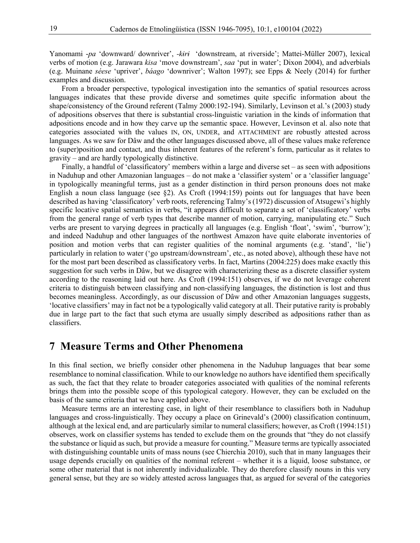Yanomami -*pa* 'downward/ downriver', *-kɨrɨ* 'downstream, at riverside'; Mattei-Müller 2007), lexical verbs of motion (e.g. Jarawara *kisa* 'move downstream', *saa* 'put in water'; Dixon 2004), and adverbials (e.g. Muinane *séese* 'upriver', *báago* 'downriver'; Walton 1997); see Epps & Neely (2014) for further examples and discussion.

From a broader perspective, typological investigation into the semantics of spatial resources across languages indicates that these provide diverse and sometimes quite specific information about the shape/consistency of the Ground referent (Talmy 2000:192-194). Similarly, Levinson et al.'s (2003) study of adpositions observes that there is substantial cross-linguistic variation in the kinds of information that adpositions encode and in how they carve up the semantic space. However, Levinson et al. also note that categories associated with the values IN, ON, UNDER, and ATTACHMENT are robustly attested across languages. As we saw for Dâw and the other languages discussed above, all of these values make reference to (super)position and contact, and thus inherent features of the referent's form, particular as it relates to gravity – and are hardly typologically distinctive.

Finally, a handful of 'classificatory' members within a large and diverse set – as seen with adpositions in Naduhup and other Amazonian languages – do not make a 'classifier system' or a 'classifier language' in typologically meaningful terms, just as a gender distinction in third person pronouns does not make English a noun class language (see §2). As Croft (1994:159) points out for languages that have been described as having 'classificatory' verb roots, referencing Talmy's (1972) discussion of Atsugewi's highly specific locative spatial semantics in verbs, "it appears difficult to separate a set of 'classificatory' verbs from the general range of verb types that describe manner of motion, carrying, manipulating etc." Such verbs are present to varying degrees in practically all languages (e.g. English 'float', 'swim', 'burrow'); and indeed Naduhup and other languages of the northwest Amazon have quite elaborate inventories of position and motion verbs that can register qualities of the nominal arguments (e.g. 'stand', 'lie') particularly in relation to water ('go upstream/downstream', etc., as noted above), although these have not for the most part been described as classificatory verbs. In fact, Martins (2004:225) does make exactly this suggestion for such verbs in Dâw, but we disagree with characterizing these as a discrete classifier system according to the reasoning laid out here. As Croft (1994:151) observes, if we do not leverage coherent criteria to distinguish between classifying and non-classifying languages, the distinction is lost and thus becomes meaningless. Accordingly, as our discussion of Dâw and other Amazonian languages suggests, 'locative classifiers' may in fact not be a typologically valid category at all. Their putative rarity is probably due in large part to the fact that such etyma are usually simply described as adpositions rather than as classifiers.

#### **7 Measure Terms and Other Phenomena**

In this final section, we briefly consider other phenomena in the Naduhup languages that bear some resemblance to nominal classification. While to our knowledge no authors have identified them specifically as such, the fact that they relate to broader categories associated with qualities of the nominal referents brings them into the possible scope of this typological category. However, they can be excluded on the basis of the same criteria that we have applied above.

Measure terms are an interesting case, in light of their resemblance to classifiers both in Naduhup languages and cross-linguistically. They occupy a place on Grinevald's (2000) classification continuum, although at the lexical end, and are particularly similar to numeral classifiers; however, as Croft (1994:151) observes, work on classifier systems has tended to exclude them on the grounds that "they do not classify the substance or liquid as such, but provide a measure for counting." Measure terms are typically associated with distinguishing countable units of mass nouns (see Chierchia 2010), such that in many languages their usage depends crucially on qualities of the nominal referent – whether it is a liquid, loose substance, or some other material that is not inherently individualizable. They do therefore classify nouns in this very general sense, but they are so widely attested across languages that, as argued for several of the categories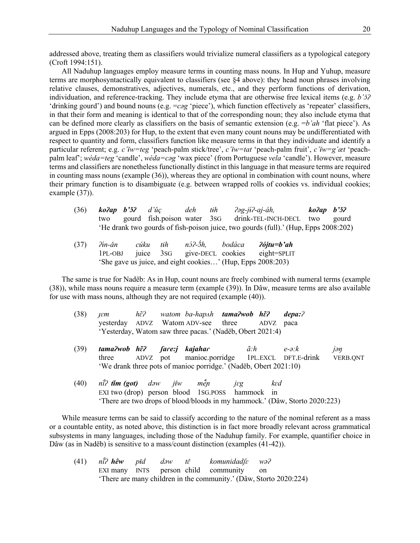addressed above, treating them as classifiers would trivialize numeral classifiers as a typological category (Croft 1994:151).

All Naduhup languages employ measure terms in counting mass nouns. In Hup and Yuhup, measure terms are morphosyntactically equivalent to classifiers (see §4 above): they head noun phrases involving relative clauses, demonstratives, adjectives, numerals, etc., and they perform functions of derivation, individuation, and reference-tracking. They include etyma that are otherwise free lexical items (e.g. *b'ɔ̌ʔ* 'drinking gourd') and bound nouns (e.g. =*cǝg* 'piece'), which function effectively as 'repeater' classifiers, in that their form and meaning is identical to that of the corresponding noun; they also include etyma that can be defined more clearly as classifiers on the basis of semantic extension (e.g. =*b'ah* 'flat piece'). As argued in Epps (2008:203) for Hup, to the extent that even many count nouns may be undifferentiated with respect to quantity and form, classifiers function like measure terms in that they individuate and identify a particular referent; e.g. *c'iw=teg* 'peach-palm stick/tree', *c'iw=tat* 'peach-palm fruit', *c'iw=g'æt* 'peachpalm leaf'; *wéda=teg* 'candle', *wéda=cǝg* 'wax piece' (from Portuguese *vela* 'candle'). However, measure terms and classifiers are nonetheless functionally distinct in this language in that measure terms are required in counting mass nouns (example (36)), whereas they are optional in combination with count nouns, where their primary function is to disambiguate (e.g. between wrapped rolls of cookies vs. individual cookies; example (37)).

| (36) | $ko2ap$ $b'32$ $d'uc$ | deh | tih | ?əg-j <del>i</del> ?-aj-áh,                                                         | $ko2ap$ $b32$ |  |
|------|-----------------------|-----|-----|-------------------------------------------------------------------------------------|---------------|--|
|      |                       |     |     | two gourd fish.poison water 3sG drink-TEL-INCH-DECL two gourd                       |               |  |
|      |                       |     |     | 'He drank two gourds of fish-poison juice, two gourds (full).' (Hup, Epps 2008:202) |               |  |

(37) *<i><i>Pin-ăn*<br>1PL-OBJ *n-ǎn cúku tɨh nɔ́*  $n3$ <sup>2</sup>- $\dot{3}h$ , *́h, bodáca ʔójtu=b'ah* give-DECL cookies eight=SPLIT 'She gave us juice, and eight cookies…' (Hup, Epps 2008:203)

The same is true for Nadëb: As in Hup, count nouns are freely combined with numeral terms (example (38)), while mass nouns require a measure term (example (39)). In Dâw, measure terms are also available for use with mass nouns, although they are not required (example (40)).

| (38) | IEM |  | hế? watom ba-hap^h <b>tama?wob hế?</b>                    | depa:? |
|------|-----|--|-----------------------------------------------------------|--------|
|      |     |  | yesterday ADVZ Watom ADV-see three ADVZ paca              |        |
|      |     |  | 'Yesterday, Watom saw three pacas.' (Nadëb, Obert 2021:4) |        |

- (39) *tama?wob h***<sub>** $\tilde{\epsilon}$ **?** *fance hDVZ* **pot**</sub> *ʔ ʃaɾe:j kajahaɾ ã:h e-ə:k jəŋ* three ADVZ pot manioc.porridge 1PL.EXCL DFT.E-drink VERB.QNT 'We drank three pots of manioc porridge.' (Nadëb, Obert 2021:10)
- $(40)$ *n* $\hat{i}$ ? *tim* **(got)** dəw *j* $\hat{i}$ w *men ̌ ɲ jɛg kɛd* EXI two (drop) person blood 1SG.POSS hammock in 'There are two drops of blood/bloods in my hammock.' (Dâw, Storto 2020:223)

While measure terms can be said to classify according to the nature of the nominal referent as a mass or a countable entity, as noted above, this distinction is in fact more broadly relevant across grammatical subsystems in many languages, including those of the Naduhup family. For example, quantifier choice in Dâw (as in Nadëb) is sensitive to a mass/count distinction (examples (41-42)).

|  |  | (41) $n\hat{i}$ ? hêw pid daw tê komunidad/ $\varepsilon$ wa? |                                                                    |
|--|--|---------------------------------------------------------------|--------------------------------------------------------------------|
|  |  | EXI many INTS person child community on                       |                                                                    |
|  |  |                                                               | 'There are many children in the community.' (Dâw, Storto 2020:224) |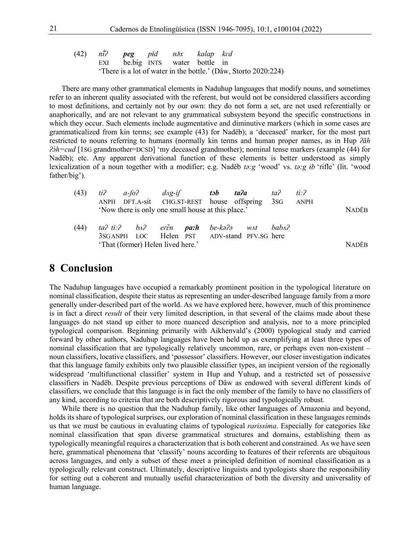|  | (42) ni <sup>3</sup> <b>peg</b> pǐd nǎx kalap ked |  |  |                                                                 |
|--|---------------------------------------------------|--|--|-----------------------------------------------------------------|
|  | EXI bebig INTS water bottle in                    |  |  |                                                                 |
|  |                                                   |  |  | 'There is a lot of water in the bottle.' (Dâw, Storto 2020:224) |

There are many other grammatical elements in Naduhup languages that modify nouns, and sometimes refer to an inherent quality associated with the referent, but would not be considered classifiers according to most definitions, and certainly not by our own: they do not form a set, are not used referentially or anaphorically, and are not relevant to any grammatical subsystem beyond the specific constructions in which they occur. Such elements include augmentative and diminutive markers (which in some cases are grammaticalized from kin terms; see example (43) for Nadëb); a 'deceased' marker, for the most part restricted to nouns referring to humans (normally kin terms and human proper names, as in Hup *ʔãh ʔɔ́ h=cud* [1SG grandmother=DCSD] 'my deceased grandmother); nominal tense markers (example (44) for Nadëb); etc. Any apparent derivational function of these elements is better understood as simply lexicalization of a noun together with a modifier; e.g. Nadëb *tə:g* 'wood' vs. *tə:g ɨb* 'rifle' (lit. 'wood father/big').

| (43) |                                                    | $ti^2$ a-fo? dag-if tob ta?a                                |              |  |  |  | ta? | ti: $\partial$ |  |
|------|----------------------------------------------------|-------------------------------------------------------------|--------------|--|--|--|-----|----------------|--|
|      |                                                    | ANPH DFT.A-sit CHG.ST-REST house offspring 3sG              |              |  |  |  |     | ANPH           |  |
|      | 'Now there is only one small house at this place.' |                                                             |              |  |  |  |     |                |  |
|      |                                                    |                                                             |              |  |  |  |     |                |  |
| (44) |                                                    | ta? ti:? b^? er $\tilde{e}$ n <b>pa:h</b> be-kə?ə w^t bab^? |              |  |  |  |     |                |  |
|      |                                                    | 3SGANPH LOC Helen PST ADV-stand PFV.SG here                 |              |  |  |  |     |                |  |
|      | 'That (former) Helen lived here.'                  |                                                             | <b>NADËR</b> |  |  |  |     |                |  |

#### **8 Conclusion**

The Naduhup languages have occupied a remarkably prominent position in the typological literature on nominal classification, despite their status as representing an under-described language family from a more generally under-described part of the world. As we have explored here, however, much of this prominence is in fact a direct *result* of their very limited description, in that several of the claims made about these languages do not stand up either to more nuanced description and analysis, nor to a more principled typological comparison. Beginning primarily with Aikhenvald's (2000) typological study and carried forward by other authors, Naduhup languages have been held up as exemplifying at least three types of nominal classification that are typologically relatively uncommon, rare, or perhaps even non-existent – noun classifiers, locative classifiers, and 'possessor' classifiers. However, our closer investigation indicates that this language family exhibits only two plausible classifier types, an incipient version of the regionally widespread 'multifunctional classifier' system in Hup and Yuhup, and a restricted set of possessive classifiers in Nadëb. Despite previous perceptions of Dâw as endowed with several different kinds of classifiers, we conclude that this language is in fact the only member of the family to have no classifiers of any kind, according to criteria that are both descriptively rigorous and typologically robust.

While there is no question that the Naduhup family, like other languages of Amazonia and beyond, holds its share of typological surprises, our exploration of nominal classification in these languages reminds us that we must be cautious in evaluating claims of typological *rarissima*. Especially for categories like nominal classification that span diverse grammatical structures and domains, establishing them as typologically meaningful requires a characterization that is both coherent and constrained. As we have seen here, grammatical phenomena that 'classify' nouns according to features of their referents are ubiquitous across languages, and only a subset of these meet a principled definition of nominal classification as a typologically relevant construct. Ultimately, descriptive linguists and typologists share the responsibility for setting out a coherent and mutually useful characterization of both the diversity and universality of human language.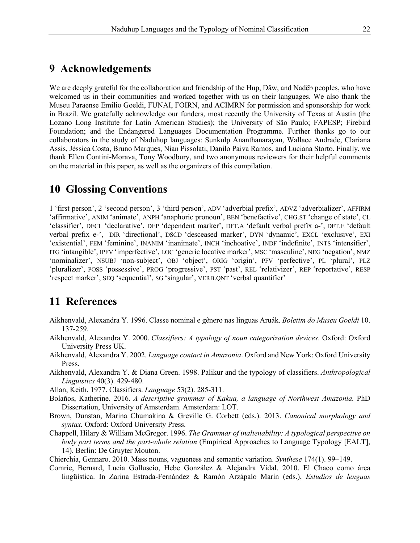## **9 Acknowledgements**

We are deeply grateful for the collaboration and friendship of the Hup, Dâw, and Nadëb peoples, who have welcomed us in their communities and worked together with us on their languages. We also thank the Museu Paraense Emilio Goeldi, FUNAI, FOIRN, and ACIMRN for permission and sponsorship for work in Brazil. We gratefully acknowledge our funders, most recently the University of Texas at Austin (the Lozano Long Institute for Latin American Studies); the University of São Paulo; FAPESP; Firebird Foundation; and the Endangered Languages Documentation Programme. Further thanks go to our collaborators in the study of Naduhup languages: Sunkulp Ananthanarayan, Wallace Andrade, Clariana Assis, Jéssica Costa, Bruno Marques, Nian Pissolati, Danilo Paiva Ramos, and Luciana Storto. Finally, we thank Ellen Contini-Morava, Tony Woodbury, and two anonymous reviewers for their helpful comments on the material in this paper, as well as the organizers of this compilation.

# **10 Glossing Conventions**

1 'first person', 2 'second person', 3 'third person', ADV 'adverbial prefix', ADVZ 'adverbializer', AFFIRM 'affirmative', ANIM 'animate', ANPH 'anaphoric pronoun', BEN 'benefactive', CHG.ST 'change of state', CL 'classifier', DECL 'declarative', DEP 'dependent marker', DFT.A 'default verbal prefix a-', DFT.E 'default verbal prefix e-', DIR 'directional', DSCD 'desceased marker', DYN 'dynamic', EXCL 'exclusive', EXI 'existential', FEM 'feminine', INANIM 'inanimate', INCH 'inchoative', INDF 'indefinite', INTS 'intensifier', ITG 'intangible', IPFV 'imperfective', LOC 'generic locative marker', MSC 'masculine', NEG 'negation', NMZ 'nominalizer', NSUBJ 'non-subject', OBJ 'object', ORIG 'origin', PFV 'perfective', PL 'plural', PLZ 'pluralizer', POSS 'possessive', PROG 'progressive', PST 'past', REL 'relativizer', REP 'reportative', RESP 'respect marker', SEQ 'sequential', SG 'singular', VERB.QNT 'verbal quantifier'

# **11 References**

- Aikhenvald, Alexandra Y. 1996. Classe nominal e gênero nas línguas Aruák. *Boletim do Museu Goeldi* 10. 137-259.
- Aikhenvald, Alexandra Y. 2000. *Classifiers: A typology of noun categorization devices*. Oxford: Oxford University Press UK.
- Aikhenvald, Alexandra Y. 2002. *Language contact in Amazonia*. Oxford and New York: Oxford University Press.
- Aikhenvald, Alexandra Y. & Diana Green. 1998. Palikur and the typology of classifiers. *Anthropological Linguistics* 40(3). 429-480.
- Allan, Keith. 1977. Classifiers. *Language* 53(2). 285-311.
- Bolaños, Katherine. 2016. *A descriptive grammar of Kakua, a language of Northwest Amazonia.* PhD Dissertation, University of Amsterdam. Amsterdam: LOT.
- Brown, Dunstan, Marina Chumakina & Greville G. Corbett (eds.). 2013. *Canonical morphology and syntax.* Oxford: Oxford University Press.
- Chappell, Hilary & William McGregor. 1996. *The Grammar of inalienability: A typological perspective on body part terms and the part-whole relation* (Empirical Approaches to Language Typology [EALT], 14). Berlin: De Gruyter Mouton.
- Chierchia, Gennaro. 2010. Mass nouns, vagueness and semantic variation. *Synthese* 174(1). 99–149.
- Comrie, Bernard, Lucia Golluscio, Hebe González & Alejandra Vidal. 2010. El Chaco como área lingüística. In Zarina Estrada-Fernández & Ramón Arzápalo Marín (eds.), *Estudios de lenguas*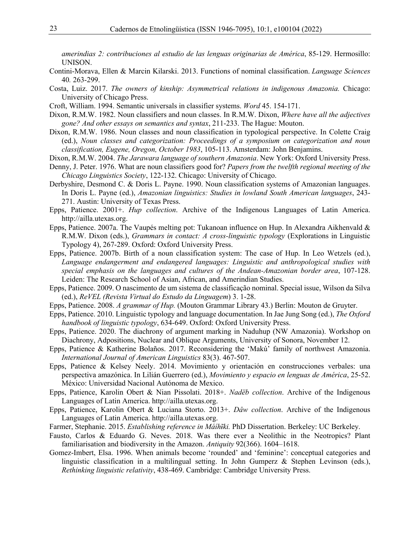*amerindias 2: contribuciones al estudio de las lenguas originarias de América*, 85-129. Hermosillo: UNISON.

- Contini-Morava, Ellen & Marcin Kilarski. 2013. Functions of nominal classification. *Language Sciences* 40*.* 263-299.
- Costa, Luiz. 2017. *The owners of kinship: Asymmetrical relations in indigenous Amazonia.* Chicago: University of Chicago Press.
- Croft, William. 1994. Semantic universals in classifier systems. *Word* 45. 154-171.
- Dixon, R.M.W. 1982. Noun classifiers and noun classes. In R.M.W. Dixon, *Where have all the adjectives gone? And other essays on semantics and syntax*, 211-233. The Hague: Mouton.
- Dixon, R.M.W. 1986. Noun classes and noun classification in typological perspective. In Colette Craig (ed.), *Noun classes and categorization: Proceedings of a symposium on categorization and noun classification, Eugene, Oregon, October 1983*, 105-113. Amsterdam: John Benjamins.
- Dixon, R.M.W. 2004. *The Jarawara language of southern Amazonia*. New York: Oxford University Press.
- Denny, J. Peter. 1976. What are noun classifiers good for? *Papers from the twelfth regional meeting of the Chicago Linguistics Society*, 122-132. Chicago: University of Chicago.
- Derbyshire, Desmond C. & Doris L. Payne. 1990. Noun classification systems of Amazonian languages. In Doris L. Payne (ed.), *Amazonian linguistics: Studies in lowland South American languages*, 243- 271. Austin: University of Texas Press.
- Epps, Patience. 2001+. *Hup collection*. Archive of the Indigenous Languages of Latin America. http://ailla.utexas.org.
- Epps, Patience. 2007a. The Vaupés melting pot: Tukanoan influence on Hup. In Alexandra Aikhenvald & R.M.W. Dixon (eds.), *Grammars in contact: A cross-linguistic typology* (Explorations in Linguistic Typology 4), 267-289. Oxford: Oxford University Press.
- Epps, Patience. 2007b. Birth of a noun classification system: The case of Hup. In Leo Wetzels (ed.), *Language endangerment and endangered languages: Linguistic and anthropological studies with special emphasis on the languages and cultures of the Andean-Amazonian border area*, 107-128. Leiden: The Research School of Asian, African, and Amerindian Studies.
- Epps, Patience. 2009. O nascimento de um sistema de classificação nominal. Special issue, Wilson da Silva (ed.), *ReVEL (Revista Virtual do Estudo da Linguagem*) 3. 1-28.
- Epps, Patience. 2008. *A grammar of Hup.* (Mouton Grammar Library 43.) Berlin: Mouton de Gruyter.
- Epps, Patience. 2010. Linguistic typology and language documentation. In Jae Jung Song (ed.), *The Oxford handbook of linguistic typology*, 634-649. Oxford: Oxford University Press.
- Epps, Patience. 2020. The diachrony of argument marking in Naduhup (NW Amazonia). Workshop on Diachrony, Adpositions, Nuclear and Oblique Arguments, University of Sonora, November 12.
- Epps, Patience & Katherine Bolaños. 2017. Reconsidering the 'Makú' family of northwest Amazonia. *International Journal of American Linguistics* 83(3). 467-507.
- Epps, Patience & Kelsey Neely. 2014. Movimiento y orientación en construcciones verbales: una perspectiva amazónica. In Lilián Guerrero (ed.), *Movimiento y espacio en lenguas de América*, 25-52. México: Universidad Nacional Autónoma de Mexico.
- Epps, Patience, Karolin Obert & Nian Pissolati. 2018+. *Nadëb collection*. Archive of the Indigenous Languages of Latin America. http://ailla.utexas.org.
- Epps, Patience, Karolin Obert & Luciana Storto. 2013+. *Dâw collection*. Archive of the Indigenous Languages of Latin America. http://ailla.utexas.org.
- Farmer, Stephanie. 2015. *Establishing reference in Máíh<del>î</del>ki*. PhD Dissertation. Berkeley: UC Berkeley.
- Fausto, Carlos & Eduardo G. Neves. 2018. Was there ever a Neolithic in the Neotropics? Plant familiarisation and biodiversity in the Amazon. *Antiquity* 92(366). 1604–1618.
- Gomez-Imbert, Elsa. 1996. When animals become 'rounded' and 'feminine': conceptual categories and linguistic classification in a multilingual setting. In John Gumperz & Stephen Levinson (eds.), *Rethinking linguistic relativity*, 438-469. Cambridge: Cambridge University Press.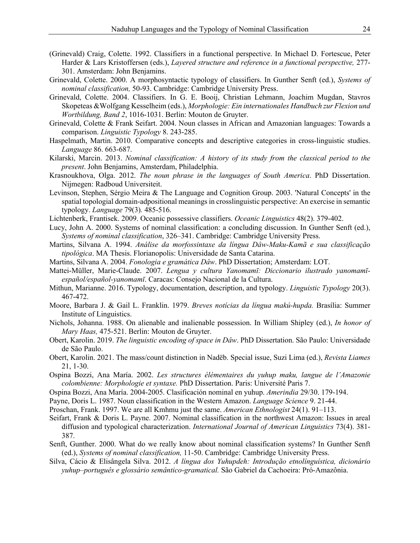- (Grinevald) Craig, Colette. 1992. Classifiers in a functional perspective. In Michael D. Fortescue, Peter Harder & Lars Kristoffersen (eds.), *Layered structure and reference in a functional perspective,* 277- 301. Amsterdam: John Benjamins.
- Grinevald, Colette. 2000. A morphosyntactic typology of classifiers. In Gunther Senft (ed.), *Systems of nominal classification,* 50-93. Cambridge: Cambridge University Press.
- Grinevald, Colette. 2004. Classifiers. In G. E. Booij, Christian Lehmann, Joachim Mugdan, Stavros Skopeteas &Wolfgang Kesselheim (eds.), *Morphologie: Ein internationales Handbuch zur Flexion und Wortbildung, Band 2*, 1016-1031. Berlin: Mouton de Gruyter.
- Grinevald, Colette & Frank Seifart. 2004. Noun classes in African and Amazonian languages: Towards a comparison. *Linguistic Typology* 8. 243-285.
- Haspelmath, Martin. 2010. Comparative concepts and descriptive categories in cross-linguistic studies. *Language* 86. 663-687.
- Kilarski, Marcin. 2013. *Nominal classification: A history of its study from the classical period to the present*. John Benjamins, Amsterdam, Philadelphia.
- Krasnoukhova, Olga. 2012. *The noun phrase in the languages of South America*. PhD Dissertation. Nijmegen: Radboud Universiteit.
- Levinson, Stephen, Sérgio Meira & The Language and Cognition Group. 2003. 'Natural Concepts' in the spatial topologial domain-adpositional meanings in crosslinguistic perspective: An exercise in semantic typology. *Language* 79(3)*.* 485-516.
- Lichtenberk, Frantisek. 2009. Oceanic possessive classifiers. *Oceanic Linguistics* 48(2). 379-402.
- Lucy, John A. 2000. Systems of nominal classification: a concluding discussion. In Gunther Senft (ed.), *Systems of nominal classification*, 326–341. Cambridge: Cambridge University Press.
- Martins, Silvana A. 1994. *Análise da morfossintaxe da língua Dâw-Maku-Kamã e sua classificação tipológica*. MA Thesis. Florianopolis: Universidade de Santa Catarina.
- Martins, Silvana A. 2004. *Fonologia e gramática Dâw*. PhD Dissertation; Amsterdam: LOT.
- Mattei-Müller, Marie-Claude. 2007. *Lengua y cultura Yanomamī: Diccionario ilustrado yanomamīespañol/español-yanomamī*. Caracas: Consejo Nacional de la Cultura.
- Mithun, Marianne. 2016. Typology, documentation, description, and typology. *Linguistic Typology* 20(3). 467-472.
- Moore, Barbara J. & Gail L. Franklin. 1979. *Breves notícias da língua makú-hupda.* Brasília: Summer Institute of Linguistics.
- Nichols, Johanna. 1988. On alienable and inalienable possession. In William Shipley (ed.), *In honor of Mary Haas,* 475-521. Berlin: Mouton de Gruyter.
- Obert, Karolin. 2019. *The linguistic encoding of space in Dâw*. PhD Dissertation. São Paulo: Universidade de São Paulo.
- Obert, Karolin. 2021. The mass/count distinction in Nadëb. Special issue, Suzi Lima (ed.), *Revista Liames* 21, 1-30.
- Ospina Bozzi, Ana María. 2002. *Les structures élémentaires du yuhup maku, langue de l'Amazonie colombienne: Morphologie et syntaxe.* PhD Dissertation. Paris: Université Paris 7.
- Ospina Bozzi, Ana María. 2004-2005. Clasificación nominal en yuhup. *Amerindia* 29/30. 179-194.
- Payne, Doris L. 1987. Noun classification in the Western Amazon. *Language Science* 9. 21-44.
- Proschan, Frank. 1997. We are all Kmhmu just the same. *American Ethnologist* 24(1). 91–113.
- Seifart, Frank & Doris L. Payne. 2007. Nominal classification in the northwest Amazon: Issues in areal diffusion and typological characterization. *International Journal of American Linguistics* 73(4). 381- 387.
- Senft, Gunther. 2000. What do we really know about nominal classification systems? In Gunther Senft (ed.), *Systems of nominal classification,* 11-50. Cambridge: Cambridge University Press.
- Silva, Cácio & Elisângela Silva. 2012. *A língua dos Yuhupdeh: Introdução etnolínguística, dicionário yuhup–português e glossário semântico-gramatical.* São Gabriel da Cachoeira: Pró-Amazônia.